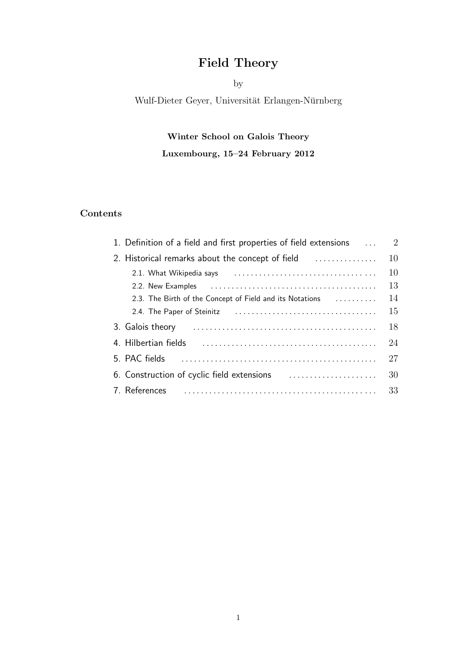# Field Theory

## by

Wulf-Dieter Geyer, Universität Erlangen-Nürnberg

# Winter School on Galois Theory

# Luxembourg, 15–24 February 2012

## Contents

| 1. Definition of a field and first properties of field extensions | $\overline{2}$ |
|-------------------------------------------------------------------|----------------|
| 2. Historical remarks about the concept of field                  | 10             |
|                                                                   | 10             |
|                                                                   | 13             |
| 2.3. The Birth of the Concept of Field and its Notations          | 14             |
|                                                                   | 15             |
|                                                                   | 18             |
|                                                                   | 24             |
|                                                                   | 27             |
|                                                                   | 30             |
| 7. References                                                     | 33             |
|                                                                   |                |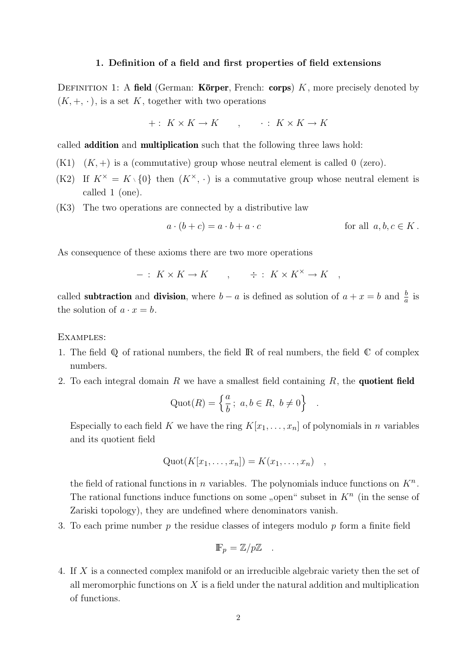#### 1. Definition of a field and first properties of field extensions

DEFINITION 1: A field (German: Körper, French: corps)  $K$ , more precisely denoted by  $(K, +, \cdot)$ , is a set K, together with two operations

$$
+: K \times K \to K \qquad , \qquad : K \times K \to K
$$

called addition and multiplication such that the following three laws hold:

- $(K1)$   $(K, +)$  is a (commutative) group whose neutral element is called 0 (zero).
- (K2) If  $K^{\times} = K \setminus \{0\}$  then  $(K^{\times}, \cdot)$  is a commutative group whose neutral element is called 1 (one).
- (K3) The two operations are connected by a distributive law

$$
a \cdot (b + c) = a \cdot b + a \cdot c \qquad \text{for all } a, b, c \in K.
$$

As consequence of these axioms there are two more operations

 $- : K \times K \to K$ ,  $\div : K \times K^{\times} \to K$ 

called **subtraction** and **division**, where  $b - a$  is defined as solution of  $a + x = b$  and  $\frac{b}{a}$  is the solution of  $a \cdot x = b$ .

#### Examples:

- 1. The field  $\mathbb Q$  of rational numbers, the field  $\mathbb R$  of real numbers, the field  $\mathbb C$  of complex numbers.
- 2. To each integral domain R we have a smallest field containing  $R$ , the **quotient field**

$$
\text{Quot}(R) = \left\{ \frac{a}{b} \, ; \, a, b \in R, \ b \neq 0 \right\} \quad .
$$

Especially to each field K we have the ring  $K[x_1, \ldots, x_n]$  of polynomials in n variables and its quotient field

$$
Quot(K[x_1,\ldots,x_n])=K(x_1,\ldots,x_n) ,
$$

the field of rational functions in n variables. The polynomials induce functions on  $K<sup>n</sup>$ . The rational functions induce functions on some "open" subset in  $K<sup>n</sup>$  (in the sense of Zariski topology), they are undefined where denominators vanish.

3. To each prime number p the residue classes of integers modulo p form a finite field

$$
\mathbb{F}_p = \mathbb{Z}/p\mathbb{Z} .
$$

4. If X is a connected complex manifold or an irreducible algebraic variety then the set of all meromorphic functions on  $X$  is a field under the natural addition and multiplication of functions.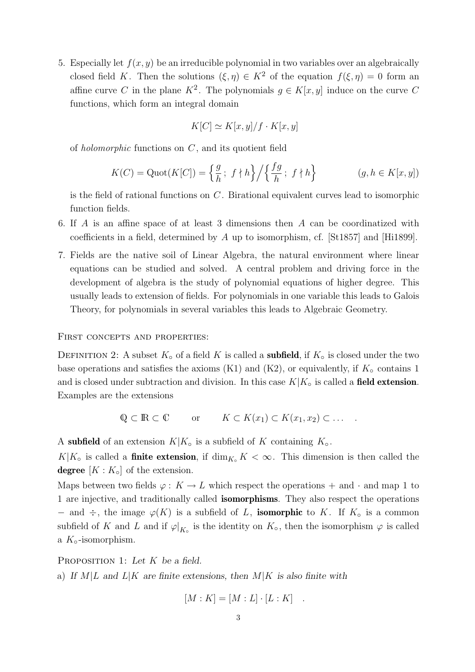5. Especially let  $f(x, y)$  be an irreducible polynomial in two variables over an algebraically closed field K. Then the solutions  $(\xi, \eta) \in K^2$  of the equation  $f(\xi, \eta) = 0$  form an affine curve C in the plane  $K^2$ . The polynomials  $g \in K[x, y]$  induce on the curve C functions, which form an integral domain

$$
K[C] \simeq K[x, y]/f \cdot K[x, y]
$$

of holomorphic functions on C, and its quotient field

$$
K(C) = \text{Quot}(K[C]) = \left\{ \frac{g}{h}; \ f \nmid h \right\} / \left\{ \frac{fg}{h}; \ f \nmid h \right\} \qquad (g, h \in K[x, y])
$$

is the field of rational functions on C. Birational equivalent curves lead to isomorphic function fields.

- 6. If A is an affine space of at least 3 dimensions then A can be coordinatized with coefficients in a field, determined by A up to isomorphism, cf. [St1857] and [Hi1899].
- 7. Fields are the native soil of Linear Algebra, the natural environment where linear equations can be studied and solved. A central problem and driving force in the development of algebra is the study of polynomial equations of higher degree. This usually leads to extension of fields. For polynomials in one variable this leads to Galois Theory, for polynomials in several variables this leads to Algebraic Geometry.

#### FIRST CONCEPTS AND PROPERTIES:

DEFINITION 2: A subset  $K_{\circ}$  of a field K is called a **subfield**, if  $K_{\circ}$  is closed under the two base operations and satisfies the axioms  $(K1)$  and  $(K2)$ , or equivalently, if  $K<sub>o</sub>$  contains 1 and is closed under subtraction and division. In this case  $K|K_{\circ}$  is called a **field extension**. Examples are the extensions

$$
\mathbb{Q} \subset \mathbb{R} \subset \mathbb{C} \qquad \text{or} \qquad K \subset K(x_1) \subset K(x_1, x_2) \subset \dots \quad .
$$

A subfield of an extension  $K|K_{\circ}$  is a subfield of K containing  $K_{\circ}$ .

 $K|K_{\circ}$  is called a **finite extension**, if  $\dim_{K_{\circ}} K < \infty$ . This dimension is then called the degree  $[K: K_{\circ}]$  of the extension.

Maps between two fields  $\varphi: K \to L$  which respect the operations  $+$  and  $\cdot$  and map 1 to 1 are injective, and traditionally called isomorphisms. They also respect the operations  $−$  and  $\div$ , the image  $\varphi(K)$  is a subfield of L, **isomorphic** to K. If K<sub>○</sub> is a common subfield of K and L and if  $\varphi|_{K_o}$  is the identity on  $K_o$ , then the isomorphism  $\varphi$  is called a  $K_{\circ}$ -isomorphism.

PROPOSITION 1: Let K be a field.

a) If  $M/L$  and  $L/K$  are finite extensions, then  $M/K$  is also finite with

$$
[M:K] = [M:L] \cdot [L:K] .
$$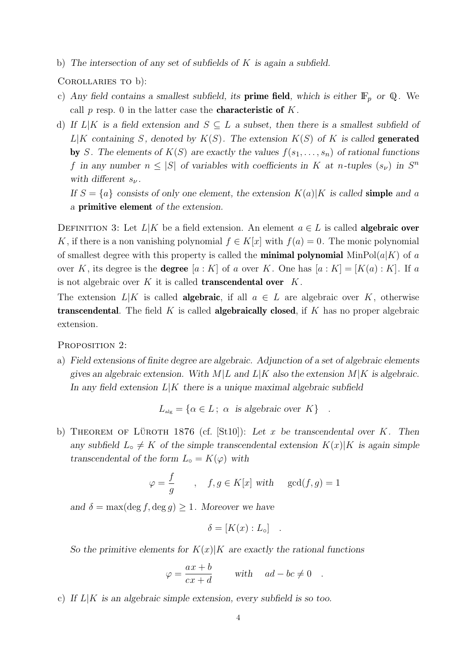b) The intersection of any set of subfields of  $K$  is again a subfield.

COROLLARIES TO b):

- c) Any field contains a smallest subfield, its **prime field**, which is either  $\mathbb{F}_p$  or Q. We call p resp. 0 in the latter case the **characteristic of**  $K$ .
- d) If  $L|K$  is a field extension and  $S \subseteq L$  a subset, then there is a smallest subfield of  $L|K$  containing S, denoted by  $K(S)$ . The extension  $K(S)$  of K is called **generated** by S. The elements of  $K(S)$  are exactly the values  $f(s_1, \ldots, s_n)$  of rational functions f in any number  $n \leq |S|$  of variables with coefficients in K at n-tuples  $(s_{\nu})$  in  $S^{n}$ with different  $s_{\nu}$ .
	- If  $S = \{a\}$  consists of only one element, the extension  $K(a)|K$  is called **simple** and a a primitive element of the extension.

DEFINITION 3: Let  $L|K$  be a field extension. An element  $a \in L$  is called **algebraic over** K, if there is a non vanishing polynomial  $f \in K[x]$  with  $f(a) = 0$ . The monic polynomial of smallest degree with this property is called the **minimal polynomial** MinPol( $a|K$ ) of a over K, its degree is the **degree**  $[a : K]$  of a over K. One has  $[a : K] = [K(a) : K]$ . If a is not algebraic over  $K$  it is called **transcendental over**  $K$ .

The extension  $L|K$  is called **algebraic**, if all  $a \in L$  are algebraic over K, otherwise **transcendental.** The field  $K$  is called **algebraically closed**, if  $K$  has no proper algebraic extension.

PROPOSITION 2:

a) Field extensions of finite degree are algebraic. Adjunction of a set of algebraic elements gives an algebraic extension. With  $M/L$  and  $L/K$  also the extension  $M/K$  is algebraic. In any field extension  $L|K$  there is a unique maximal algebraic subfield

$$
L_{\text{alg}} = \{ \alpha \in L \, ; \, \alpha \text{ is algebraic over } K \} .
$$

b) THEOREM OF LÜROTH 1876 (cf. [St10]): Let x be transcendental over K. Then any subfield  $L \circ \neq K$  of the simple transcendental extension  $K(x)|K$  is again simple transcendental of the form  $L_0 = K(\varphi)$  with

$$
\varphi = \frac{f}{g} \qquad , \quad f, g \in K[x] \text{ with } \gcd(f, g) = 1
$$

and  $\delta = \max(\deg f, \deg g) \geq 1$ . Moreover we have

$$
\delta = [K(x) : L_{\circ}] \quad .
$$

So the primitive elements for  $K(x)|K$  are exactly the rational functions

$$
\varphi = \frac{ax+b}{cx+d} \quad \text{with} \quad ad-bc \neq 0 \quad .
$$

c) If  $L|K$  is an algebraic simple extension, every subfield is so too.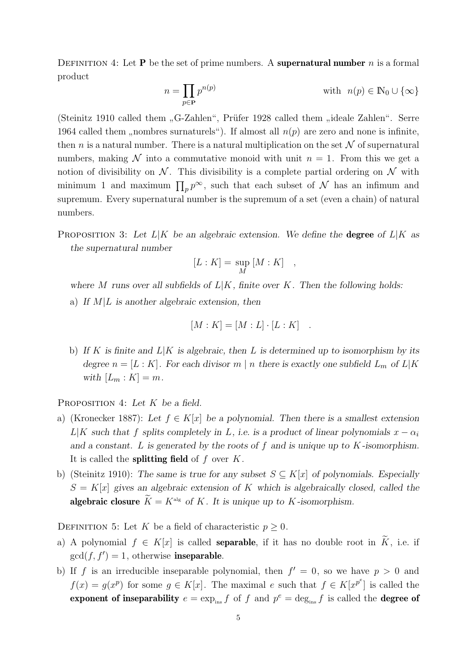DEFINITION 4: Let **P** be the set of prime numbers. A **supernatural number** n is a formal product

$$
n = \prod_{p \in \mathbf{P}} p^{n(p)} \qquad \text{with} \ \ n(p) \in \mathbb{N}_0 \cup \{\infty\}
$$

(Steinitz 1910 called them "G-Zahlen", Prüfer 1928 called them "ideale Zahlen". Serre 1964 called them "nombres surnaturels"). If almost all  $n(p)$  are zero and none is infinite, then n is a natural number. There is a natural multiplication on the set  $\mathcal N$  of supernatural numbers, making N into a commutative monoid with unit  $n = 1$ . From this we get a notion of divisibility on  $\mathcal N$ . This divisibility is a complete partial ordering on  $\mathcal N$  with minimum 1 and maximum  $\prod_p p^{\infty}$ , such that each subset of N has an infimum and supremum. Every supernatural number is the supremum of a set (even a chain) of natural numbers.

PROPOSITION 3: Let  $L|K$  be an algebraic extension. We define the **degree** of  $L|K$  as the supernatural number

$$
[L:K] = \sup_M [M:K] ,
$$

where M runs over all subfields of  $L|K$ , finite over K. Then the following holds: a) If  $M/L$  is another algebraic extension, then

$$
[M:K] = [M:L] \cdot [L:K] .
$$

b) If K is finite and  $L|K$  is algebraic, then L is determined up to isomorphism by its degree  $n = [L : K]$ . For each divisor m | n there is exactly one subfield  $L_m$  of  $L|K$ with  $[L_m : K] = m$ .

PROPOSITION 4: Let  $K$  be a field.

- a) (Kronecker 1887): Let  $f \in K[x]$  be a polynomial. Then there is a smallest extension L|K such that f splits completely in L, i.e. is a product of linear polynomials  $x - \alpha_i$ and a constant. L is generated by the roots of f and is unique up to  $K$ -isomorphism. It is called the **splitting field** of  $f$  over  $K$ .
- b) (Steinitz 1910): The same is true for any subset  $S \subseteq K[x]$  of polynomials. Especially  $S = K[x]$  gives an algebraic extension of K which is algebraically closed, called the algebraic closure  $\widetilde{K} = K^{\text{alg}}$  of K. It is unique up to K-isomorphism.

DEFINITION 5: Let K be a field of characteristic  $p \geq 0$ .

- a) A polynomial  $f \in K[x]$  is called **separable**, if it has no double root in  $\tilde{K}$ , i.e. if  $gcd(f, f') = 1$ , otherwise **inseparable**.
- b) If f is an irreducible inseparable polynomial, then  $f' = 0$ , so we have  $p > 0$  and  $f(x) = g(x^p)$  for some  $g \in K[x]$ . The maximal e such that  $f \in K[x^{p^e}]$  is called the exponent of inseparability  $e = \exp_{\text{ins}} f$  of f and  $p^e = \deg_{\text{ins}} f$  is called the degree of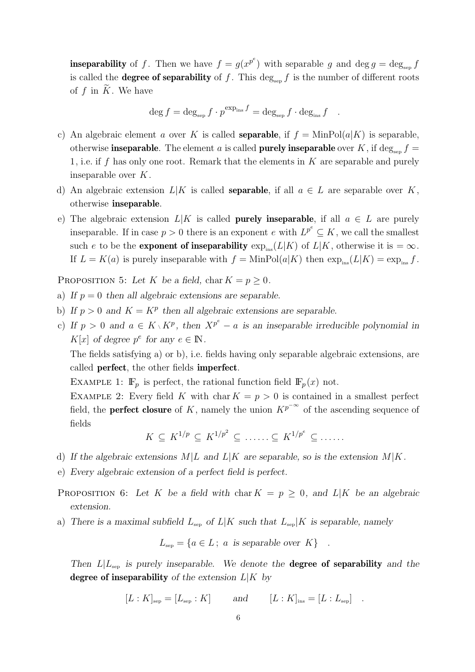**inseparability** of f. Then we have  $f = g(x^{p^e})$  with separable g and  $\deg g = \deg_{\text{sep}} f$ is called the **degree of separability** of f. This  $\deg_{\text{sen}} f$  is the number of different roots of  $f$  in  $K$ . We have

$$
\deg f = \deg_{\text{sep}} f \cdot p^{\exp_{\text{ins}} f} = \deg_{\text{sep}} f \cdot \deg_{\text{ins}} f \quad .
$$

- c) An algebraic element a over K is called **separable**, if  $f = \text{MinPol}(a|K)$  is separable, otherwise inseparable. The element a is called purely inseparable over K, if deg<sub>sep</sub>  $f =$ 1, i.e. if f has only one root. Remark that the elements in  $K$  are separable and purely inseparable over K.
- d) An algebraic extension  $L|K$  is called **separable**, if all  $a \in L$  are separable over K, otherwise inseparable.
- e) The algebraic extension  $L|K$  is called **purely inseparable**, if all  $a \in L$  are purely inseparable. If in case  $p > 0$  there is an exponent e with  $L^{p^e} \subseteq K$ , we call the smallest such e to be the **exponent of inseparability**  $\exp_{\text{ins}}(L|K)$  of  $L|K$ , otherwise it is =  $\infty$ . If  $L = K(a)$  is purely inseparable with  $f = \text{MinPol}(a|K)$  then  $\exp_{\text{ins}}(L|K) = \exp_{\text{ins}} f$ .

PROPOSITION 5: Let K be a field, char  $K = p \geq 0$ .

- a) If  $p = 0$  then all algebraic extensions are separable.
- b) If  $p > 0$  and  $K = K^p$  then all algebraic extensions are separable.
- c) If  $p > 0$  and  $a \in K \setminus K^p$ , then  $X^{p^e} a$  is an inseparable irreducible polynomial in  $K[x]$  of degree  $p^e$  for any  $e \in \mathbb{N}$ .

The fields satisfying a) or b), i.e. fields having only separable algebraic extensions, are called perfect, the other fields imperfect.

EXAMPLE 1:  $\mathbb{F}_p$  is perfect, the rational function field  $\mathbb{F}_p(x)$  not.

EXAMPLE 2: Every field K with char  $K = p > 0$  is contained in a smallest perfect field, the **perfect closure** of K, namely the union  $K^{p^{-\infty}}$  of the ascending sequence of fields

$$
K \subseteq K^{1/p} \subseteq K^{1/p^2} \subseteq \ldots \subseteq K^{1/p^e} \subseteq \ldots \ldots
$$

- d) If the algebraic extensions  $M/L$  and  $L/K$  are separable, so is the extension  $M/K$ .
- e) Every algebraic extension of a perfect field is perfect.

PROPOSITION 6: Let K be a field with char  $K = p \geq 0$ , and L|K be an algebraic extension.

a) There is a maximal subfield  $L_{\text{sep}}$  of  $L|K$  such that  $L_{\text{sep}}|K$  is separable, namely

 $L_{\text{sep}} = \{a \in L; a \text{ is separable over } K\}$ .

Then  $L|L_{sep}$  is purely inseparable. We denote the **degree of separability** and the degree of inseparability of the extension  $L|K$  by

$$
[L:K]_{\text{sep}} = [L_{\text{sep}}:K] \qquad \text{and} \qquad [L:K]_{\text{ins}} = [L:L_{\text{sep}}] \quad .
$$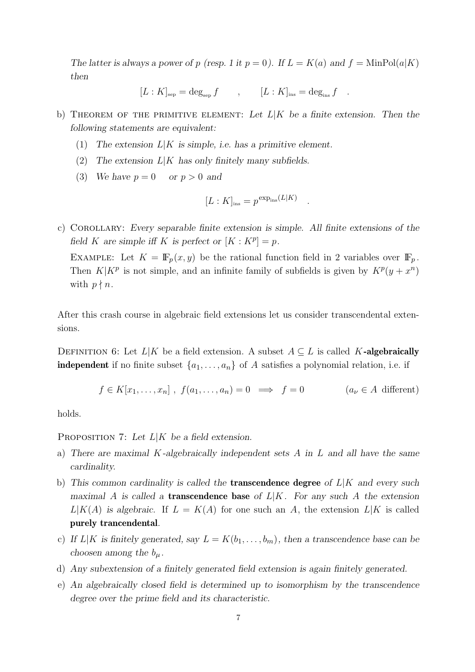The latter is always a power of p (resp. 1 it  $p = 0$ ). If  $L = K(a)$  and  $f = \text{MinPol}(a|K)$ then

 $[L : K]_{\text{sep}} = \text{deg}_{\text{sep}} f$ ,  $[L : K]_{\text{ins}} = \text{deg}_{\text{ins}} f$ .

b) THEOREM OF THE PRIMITIVE ELEMENT: Let  $L|K$  be a finite extension. Then the following statements are equivalent:

- (1) The extension  $L|K$  is simple, i.e. has a primitive element.
- (2) The extension  $L|K$  has only finitely many subfields.
- (3) We have  $p = 0$  or  $p > 0$  and

$$
[L:K]_{\text{ins}} = p^{\exp_{\text{ins}}(L|K)}
$$

.

c) Corollary: Every separable finite extension is simple. All finite extensions of the field K are simple iff K is perfect or  $[K: K^p] = p$ .

EXAMPLE: Let  $K = \mathbb{F}_p(x, y)$  be the rational function field in 2 variables over  $\mathbb{F}_p$ . Then  $K|K^p$  is not simple, and an infinite family of subfields is given by  $K^p(y+x^n)$ with  $p \nmid n$ .

After this crash course in algebraic field extensions let us consider transcendental extensions.

DEFINITION 6: Let  $L|K$  be a field extension. A subset  $A \subseteq L$  is called K-algebraically **independent** if no finite subset  $\{a_1, \ldots, a_n\}$  of A satisfies a polynomial relation, i.e. if

$$
f \in K[x_1,...,x_n]
$$
,  $f(a_1,...,a_n) = 0 \implies f = 0$   $(a_\nu \in A \text{ different})$ 

holds.

PROPOSITION 7: Let  $L|K$  be a field extension.

- a) There are maximal K-algebraically independent sets  $A$  in  $L$  and all have the same cardinality.
- b) This common cardinality is called the **transcendence degree** of  $L|K$  and every such maximal A is called a **transcendence base** of  $L|K$ . For any such A the extension  $L|K(A)$  is algebraic. If  $L = K(A)$  for one such an A, the extension  $L|K$  is called purely trancendental.
- c) If  $L|K$  is finitely generated, say  $L = K(b_1, \ldots, b_m)$ , then a transcendence base can be choosen among the  $b_{\mu}$ .
- d) Any subextension of a finitely generated field extension is again finitely generated.
- e) An algebraically closed field is determined up to isomorphism by the transcendence degree over the prime field and its characteristic.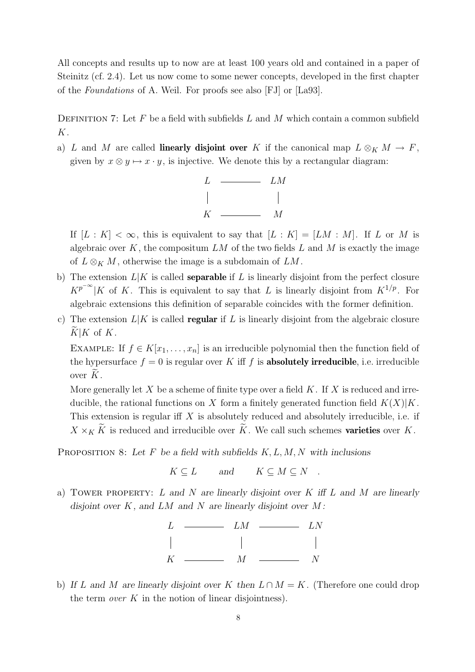All concepts and results up to now are at least 100 years old and contained in a paper of Steinitz (cf. 2.4). Let us now come to some newer concepts, developed in the first chapter of the Foundations of A. Weil. For proofs see also [FJ] or [La93].

DEFINITION 7: Let F be a field with subfields L and M which contain a common subfield K.

a) L and M are called **linearly disjoint over** K if the canonical map  $L \otimes_K M \to F$ , given by  $x \otimes y \mapsto x \cdot y$ , is injective. We denote this by a rectangular diagram:



If  $[L : K] < \infty$ , this is equivalent to say that  $[L : K] = [LM : M]$ . If L or M is algebraic over  $K$ , the compositum  $LM$  of the two fields  $L$  and  $M$  is exactly the image of  $L \otimes_K M$ , otherwise the image is a subdomain of  $LM$ .

- b) The extension  $L|K$  is called **separable** if L is linearly disjoint from the perfect closure  $K^{p^{-\infty}}|K$  of K. This is equivalent to say that L is linearly disjoint from  $K^{1/p}$ . For algebraic extensions this definition of separable coincides with the former definition.
- c) The extension  $L|K$  is called **regular** if L is linearly disjoint from the algebraic closure  $\widetilde{K}|K$  of  $K$ .

EXAMPLE: If  $f \in K[x_1, \ldots, x_n]$  is an irreducible polynomial then the function field of the hypersurface  $f = 0$  is regular over K iff f is **absolutely irreducible**, i.e. irreducible over  $K$ .

More generally let X be a scheme of finite type over a field  $K$ . If X is reduced and irreducible, the rational functions on X form a finitely generated function field  $K(X)|K$ . This extension is regular iff  $X$  is absolutely reduced and absolutely irreducible, i.e. if  $X \times_K \tilde{K}$  is reduced and irreducible over  $\tilde{K}$ . We call such schemes **varieties** over K.

PROPOSITION 8: Let F be a field with subfields  $K, L, M, N$  with inclusions

 $K \subseteq L$  and  $K \subseteq M \subseteq N$ .

a) TOWER PROPERTY: L and N are linearly disjoint over  $K$  iff L and M are linearly disjoint over  $K$ , and  $LM$  and  $N$  are linearly disjoint over  $M$ :



b) If L and M are linearly disjoint over K then  $L \cap M = K$ . (Therefore one could drop the term *over*  $K$  in the notion of linear disjointness).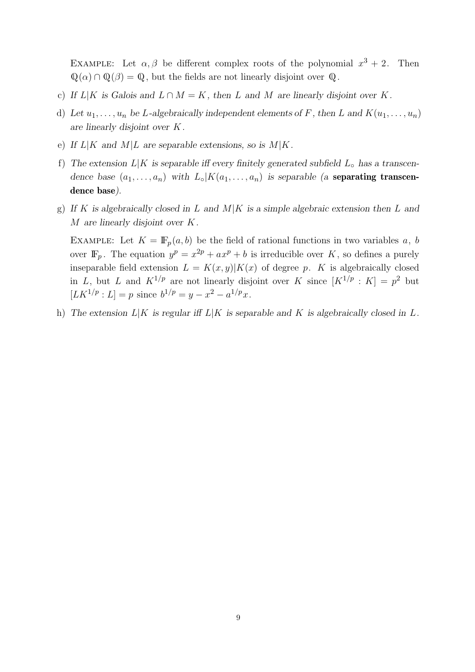EXAMPLE: Let  $\alpha, \beta$  be different complex roots of the polynomial  $x^3 + 2$ . Then  $\mathbb{Q}(\alpha) \cap \mathbb{Q}(\beta) = \mathbb{Q}$ , but the fields are not linearly disjoint over  $\mathbb{Q}$ .

- c) If  $L|K$  is Galois and  $L \cap M = K$ , then L and M are linearly disjoint over K.
- d) Let  $u_1, \ldots, u_n$  be L-algebraically independent elements of F, then L and  $K(u_1, \ldots, u_n)$ are linearly disjoint over K.
- e) If  $L|K$  and  $M|L$  are separable extensions, so is  $M|K$ .
- f) The extension  $L|K$  is separable iff every finitely generated subfield  $L_{\circ}$  has a transcendence base  $(a_1, \ldots, a_n)$  with  $L \circ |K(a_1, \ldots, a_n)|$  is separable (a **separating transcen**dence base).
- g) If K is algebraically closed in L and  $M|K$  is a simple algebraic extension then L and M are linearly disjoint over K.

EXAMPLE: Let  $K = \mathbb{F}_p(a, b)$  be the field of rational functions in two variables a, b over  $\mathbb{F}_p$ . The equation  $y^p = x^{2p} + ax^p + b$  is irreducible over K, so defines a purely inseparable field extension  $L = K(x, y)K(x)$  of degree p. K is algebraically closed in L, but L and  $K^{1/p}$  are not linearly disjoint over K since  $[K^{1/p}: K] = p^2$  but  $[LK^{1/p}:L] = p$  since  $b^{1/p} = y - x^2 - a^{1/p}x$ .

h) The extension  $L|K$  is regular iff  $L|K$  is separable and K is algebraically closed in L.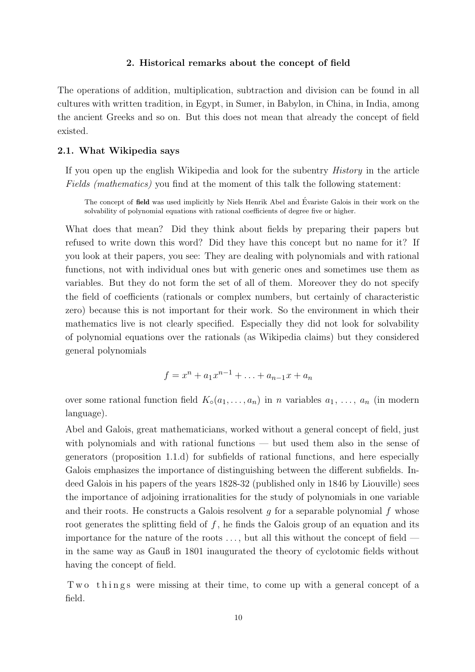#### 2. Historical remarks about the concept of field

The operations of addition, multiplication, subtraction and division can be found in all cultures with written tradition, in Egypt, in Sumer, in Babylon, in China, in India, among the ancient Greeks and so on. But this does not mean that already the concept of field existed.

#### 2.1. What Wikipedia says

If you open up the english Wikipedia and look for the subentry History in the article Fields (mathematics) you find at the moment of this talk the following statement:

The concept of field was used implicitly by Niels Henrik Abel and Évariste Galois in their work on the solvability of polynomial equations with rational coefficients of degree five or higher.

What does that mean? Did they think about fields by preparing their papers but refused to write down this word? Did they have this concept but no name for it? If you look at their papers, you see: They are dealing with polynomials and with rational functions, not with individual ones but with generic ones and sometimes use them as variables. But they do not form the set of all of them. Moreover they do not specify the field of coefficients (rationals or complex numbers, but certainly of characteristic zero) because this is not important for their work. So the environment in which their mathematics live is not clearly specified. Especially they did not look for solvability of polynomial equations over the rationals (as Wikipedia claims) but they considered general polynomials

$$
f = x^n + a_1 x^{n-1} + \ldots + a_{n-1} x + a_n
$$

over some rational function field  $K_0(a_1, \ldots, a_n)$  in n variables  $a_1, \ldots, a_n$  (in modern language).

Abel and Galois, great mathematicians, worked without a general concept of field, just with polynomials and with rational functions — but used them also in the sense of generators (proposition 1.1.d) for subfields of rational functions, and here especially Galois emphasizes the importance of distinguishing between the different subfields. Indeed Galois in his papers of the years 1828-32 (published only in 1846 by Liouville) sees the importance of adjoining irrationalities for the study of polynomials in one variable and their roots. He constructs a Galois resolvent  $g$  for a separable polynomial  $f$  whose root generates the splitting field of  $f$ , he finds the Galois group of an equation and its importance for the nature of the roots  $\dots$ , but all this without the concept of field  $$ in the same way as Gauß in 1801 inaugurated the theory of cyclotomic fields without having the concept of field.

Two things were missing at their time, to come up with a general concept of a field.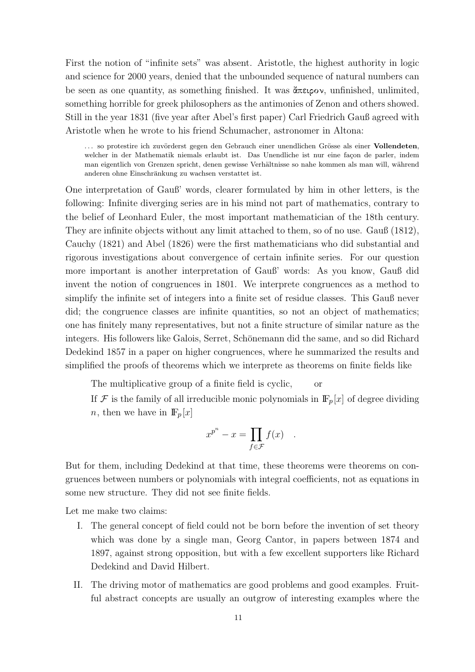First the notion of "infinite sets" was absent. Aristotle, the highest authority in logic and science for 2000 years, denied that the unbounded sequence of natural numbers can be seen as one quantity, as something finished. It was  $\alpha \in \mathbb{R}$  unfinished, unlimited, something horrible for greek philosophers as the antimonies of Zenon and others showed. Still in the year 1831 (five year after Abel's first paper) Carl Friedrich Gauß agreed with Aristotle when he wrote to his friend Schumacher, astronomer in Altona:

... so protestire ich zuvörderst gegen den Gebrauch einer unendlichen Grösse als einer Vollendeten, welcher in der Mathematik niemals erlaubt ist. Das Unendliche ist nur eine façon de parler, indem man eigentlich von Grenzen spricht, denen gewisse Verhältnisse so nahe kommen als man will, während anderen ohne Einschränkung zu wachsen verstattet ist.

One interpretation of Gauß' words, clearer formulated by him in other letters, is the following: Infinite diverging series are in his mind not part of mathematics, contrary to the belief of Leonhard Euler, the most important mathematician of the 18th century. They are infinite objects without any limit attached to them, so of no use. Gauß (1812), Cauchy (1821) and Abel (1826) were the first mathematicians who did substantial and rigorous investigations about convergence of certain infinite series. For our question more important is another interpretation of Gauß' words: As you know, Gauß did invent the notion of congruences in 1801. We interprete congruences as a method to simplify the infinite set of integers into a finite set of residue classes. This Gauß never did; the congruence classes are infinite quantities, so not an object of mathematics; one has finitely many representatives, but not a finite structure of similar nature as the integers. His followers like Galois, Serret, Schönemann did the same, and so did Richard Dedekind 1857 in a paper on higher congruences, where he summarized the results and simplified the proofs of theorems which we interprete as theorems on finite fields like

The multiplicative group of a finite field is cyclic, or

If  $\mathcal F$  is the family of all irreducible monic polynomials in  $\mathbb F_p[x]$  of degree dividing *n*, then we have in  $\mathbb{F}_p[x]$ 

$$
x^{p^n} - x = \prod_{f \in \mathcal{F}} f(x) .
$$

But for them, including Dedekind at that time, these theorems were theorems on congruences between numbers or polynomials with integral coefficients, not as equations in some new structure. They did not see finite fields.

Let me make two claims:

- I. The general concept of field could not be born before the invention of set theory which was done by a single man, Georg Cantor, in papers between 1874 and 1897, against strong opposition, but with a few excellent supporters like Richard Dedekind and David Hilbert.
- II. The driving motor of mathematics are good problems and good examples. Fruitful abstract concepts are usually an outgrow of interesting examples where the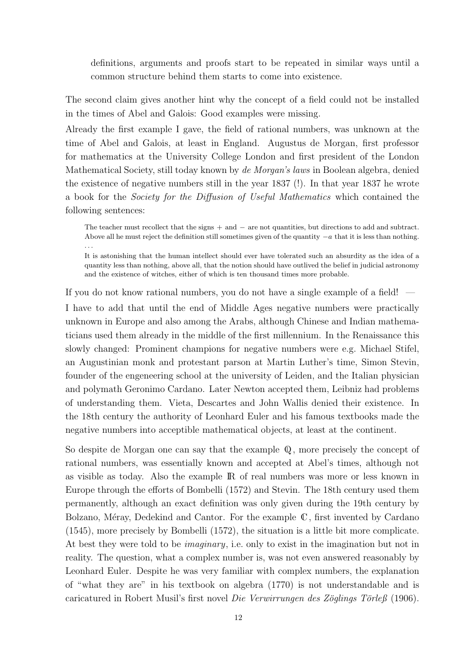definitions, arguments and proofs start to be repeated in similar ways until a common structure behind them starts to come into existence.

The second claim gives another hint why the concept of a field could not be installed in the times of Abel and Galois: Good examples were missing.

Already the first example I gave, the field of rational numbers, was unknown at the time of Abel and Galois, at least in England. Augustus de Morgan, first professor for mathematics at the University College London and first president of the London Mathematical Society, still today known by de Morgan's laws in Boolean algebra, denied the existence of negative numbers still in the year 1837 (!). In that year 1837 he wrote a book for the Society for the Diffusion of Useful Mathematics which contained the following sentences:

The teacher must recollect that the signs + and − are not quantities, but directions to add and subtract. Above all he must reject the definition still sometimes given of the quantity  $-a$  that it is less than nothing. . . .

It is astonishing that the human intellect should ever have tolerated such an absurdity as the idea of a quantity less than nothing, above all, that the notion should have outlived the belief in judicial astronomy and the existence of witches, either of which is ten thousand times more probable.

If you do not know rational numbers, you do not have a single example of a field! —

I have to add that until the end of Middle Ages negative numbers were practically unknown in Europe and also among the Arabs, although Chinese and Indian mathematicians used them already in the middle of the first millennium. In the Renaissance this slowly changed: Prominent champions for negative numbers were e.g. Michael Stifel, an Augustinian monk and protestant parson at Martin Luther's time, Simon Stevin, founder of the engeneering school at the university of Leiden, and the Italian physician and polymath Geronimo Cardano. Later Newton accepted them, Leibniz had problems of understanding them. Vieta, Descartes and John Wallis denied their existence. In the 18th century the authority of Leonhard Euler and his famous textbooks made the negative numbers into acceptible mathematical objects, at least at the continent.

So despite de Morgan one can say that the example  $\mathbb Q$ , more precisely the concept of rational numbers, was essentially known and accepted at Abel's times, although not as visible as today. Also the example IR of real numbers was more or less known in Europe through the efforts of Bombelli (1572) and Stevin. The 18th century used them permanently, although an exact definition was only given during the 19th century by Bolzano, Méray, Dedekind and Cantor. For the example  $\mathbb C$ , first invented by Cardano (1545), more precisely by Bombelli (1572), the situation is a little bit more complicate. At best they were told to be imaginary, i.e. only to exist in the imagination but not in reality. The question, what a complex number is, was not even answered reasonably by Leonhard Euler. Despite he was very familiar with complex numbers, the explanation of "what they are" in his textbook on algebra (1770) is not understandable and is caricatured in Robert Musil's first novel Die Verwirrungen des Zöglings Törleß (1906).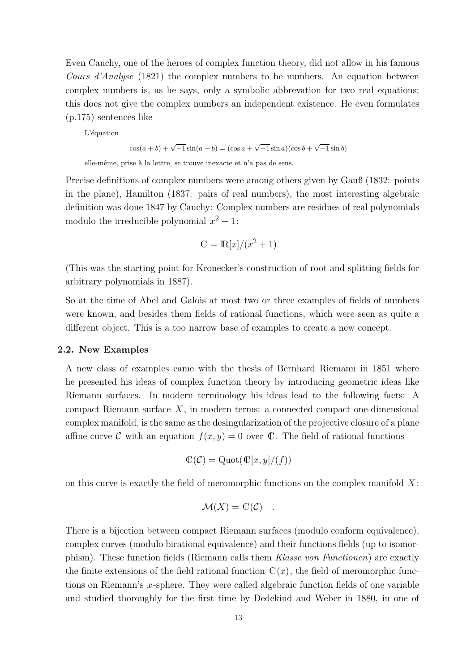Even Cauchy, one of the heroes of complex function theory, did not allow in his famous Cours d'Analyse (1821) the complex numbers to be numbers. An equation between complex numbers is, as he says, only a symbolic abbrevation for two real equations; this does not give the complex numbers an independent existence. He even formulates (p.175) sentences like

L'équation

 $\cos(a+b) + \sqrt{-1} \sin(a+b) = (\cos a + \sqrt{-1} \sin a)(\cos b + \sqrt{-1} \sin b)$ 

elle-même, prise à la lettre, se trouve inexacte et n'a pas de sens.

Precise definitions of complex numbers were among others given by Gauß (1832: points in the plane), Hamilton (1837: pairs of real numbers), the most interesting algebraic definition was done 1847 by Cauchy: Complex numbers are residues of real polynomials modulo the irreducible polynomial  $x^2 + 1$ :

$$
\mathbb{C} = \mathbb{R}[x]/(x^2 + 1)
$$

(This was the starting point for Kronecker's construction of root and splitting fields for arbitrary polynomials in 1887).

So at the time of Abel and Galois at most two or three examples of fields of numbers were known, and besides them fields of rational functions, which were seen as quite a different object. This is a too narrow base of examples to create a new concept.

#### 2.2. New Examples

A new class of examples came with the thesis of Bernhard Riemann in 1851 where he presented his ideas of complex function theory by introducing geometric ideas like Riemann surfaces. In modern terminology his ideas lead to the following facts: A compact Riemann surface  $X$ , in modern terms: a connected compact one-dimensional complex manifold, is the same as the desingularization of the projective closure of a plane affine curve C with an equation  $f(x, y) = 0$  over C. The field of rational functions

$$
\mathbb{C}(\mathcal{C}) = \mathrm{Quot}(\mathbb{C}[x, y]/(f))
$$

on this curve is exactly the field of meromorphic functions on the complex manifold  $X$ :

$$
\mathcal{M}(X) = \mathbb{C}(\mathcal{C}) \quad .
$$

There is a bijection between compact Riemann surfaces (modulo conform equivalence), complex curves (modulo birational equivalence) and their functions fields (up to isomorphism). These function fields (Riemann calls them Klasse von Functionen) are exactly the finite extensions of the field rational function  $\mathbb{C}(x)$ , the field of meromorphic functions on Riemann's x-sphere. They were called algebraic function fields of one variable and studied thoroughly for the first time by Dedekind and Weber in 1880, in one of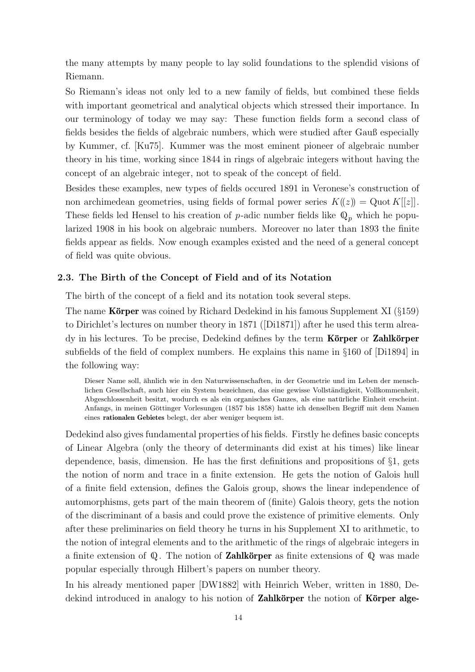the many attempts by many people to lay solid foundations to the splendid visions of Riemann.

So Riemann's ideas not only led to a new family of fields, but combined these fields with important geometrical and analytical objects which stressed their importance. In our terminology of today we may say: These function fields form a second class of fields besides the fields of algebraic numbers, which were studied after Gauß especially by Kummer, cf. [Ku75]. Kummer was the most eminent pioneer of algebraic number theory in his time, working since 1844 in rings of algebraic integers without having the concept of an algebraic integer, not to speak of the concept of field.

Besides these examples, new types of fields occured 1891 in Veronese's construction of non archimedean geometries, using fields of formal power series  $K(\ell z) = Q$ uot  $K[[z]]$ . These fields led Hensel to his creation of p-adic number fields like  $\mathbb{Q}_p$  which he popularized 1908 in his book on algebraic numbers. Moreover no later than 1893 the finite fields appear as fields. Now enough examples existed and the need of a general concept of field was quite obvious.

#### 2.3. The Birth of the Concept of Field and of its Notation

The birth of the concept of a field and its notation took several steps.

The name **Körper** was coined by Richard Dedekind in his famous Supplement XI ( $\S159$ ) to Dirichlet's lectures on number theory in 1871 ([Di1871]) after he used this term alrea $dy$  in his lectures. To be precise, Dedekind defines by the term **Körper** or **Zahlkörper** subfields of the field of complex numbers. He explains this name in §160 of [Di1894] in the following way:

Dieser Name soll, ähnlich wie in den Naturwissenschaften, in der Geometrie und im Leben der menschlichen Gesellschaft, auch hier ein System bezeichnen, das eine gewisse Vollständigkeit, Vollkommenheit, Abgeschlossenheit besitzt, wodurch es als ein organisches Ganzes, als eine naturliche Einheit erscheint. ¨ Anfangs, in meinen Göttinger Vorlesungen (1857 bis 1858) hatte ich denselben Begriff mit dem Namen eines rationalen Gebietes belegt, der aber weniger bequem ist.

Dedekind also gives fundamental properties of his fields. Firstly he defines basic concepts of Linear Algebra (only the theory of determinants did exist at his times) like linear dependence, basis, dimension. He has the first definitions and propositions of §1, gets the notion of norm and trace in a finite extension. He gets the notion of Galois hull of a finite field extension, defines the Galois group, shows the linear independence of automorphisms, gets part of the main theorem of (finite) Galois theory, gets the notion of the discriminant of a basis and could prove the existence of primitive elements. Only after these preliminaries on field theory he turns in his Supplement XI to arithmetic, to the notion of integral elements and to the arithmetic of the rings of algebraic integers in a finite extension of  $\mathbb{Q}$ . The notion of **Zahlkörper** as finite extensions of  $\mathbb{Q}$  was made popular especially through Hilbert's papers on number theory.

In his already mentioned paper [DW1882] with Heinrich Weber, written in 1880, Dedekind introduced in analogy to his notion of Zahlkörper the notion of Körper alge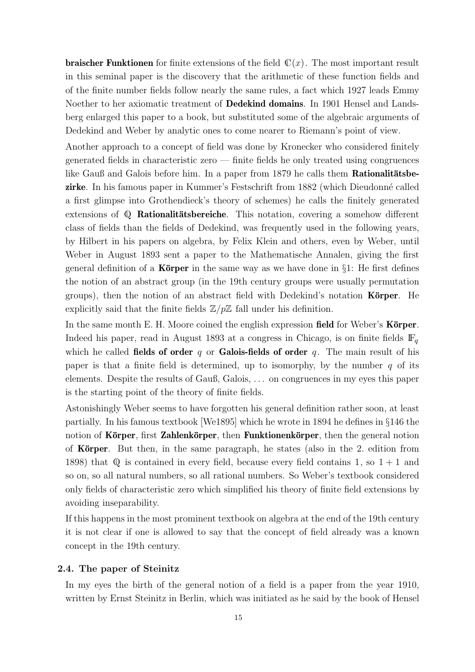**braischer Funktionen** for finite extensions of the field  $\mathbb{C}(x)$ . The most important result in this seminal paper is the discovery that the arithmetic of these function fields and of the finite number fields follow nearly the same rules, a fact which 1927 leads Emmy Noether to her axiomatic treatment of Dedekind domains. In 1901 Hensel and Landsberg enlarged this paper to a book, but substituted some of the algebraic arguments of Dedekind and Weber by analytic ones to come nearer to Riemann's point of view.

Another approach to a concept of field was done by Kronecker who considered finitely generated fields in characteristic zero — finite fields he only treated using congruences like Gauß and Galois before him. In a paper from  $1879$  he calls them **Rationalitätsbe**zirke. In his famous paper in Kummer's Festschrift from 1882 (which Dieudonn´e called a first glimpse into Grothendieck's theory of schemes) he calls the finitely generated extensions of  $\mathbb Q$  Rationalitätsbereiche. This notation, covering a somehow different class of fields than the fields of Dedekind, was frequently used in the following years, by Hilbert in his papers on algebra, by Felix Klein and others, even by Weber, until Weber in August 1893 sent a paper to the Mathematische Annalen, giving the first general definition of a **Körper** in the same way as we have done in §1: He first defines the notion of an abstract group (in the 19th century groups were usually permutation groups), then the notion of an abstract field with Dedekind's notation **Körper**. He explicitly said that the finite fields  $\mathbb{Z}/p\mathbb{Z}$  fall under his definition.

In the same month E. H. Moore coined the english expression **field** for Weber's **K**örper. Indeed his paper, read in August 1893 at a congress in Chicago, is on finite fields  $\mathbb{F}_q$ which he called fields of order q or Galois-fields of order q. The main result of his paper is that a finite field is determined, up to isomorphy, by the number  $q$  of its elements. Despite the results of Gauß, Galois, . . . on congruences in my eyes this paper is the starting point of the theory of finite fields.

Astonishingly Weber seems to have forgotten his general definition rather soon, at least partially. In his famous textbook [We1895] which he wrote in 1894 he defines in §146 the notion of Körper, first Zahlenkörper, then Funktionenkörper, then the general notion of Körper. But then, in the same paragraph, he states (also in the 2. edition from 1898) that  $\mathbb Q$  is contained in every field, because every field contains 1, so  $1 + 1$  and so on, so all natural numbers, so all rational numbers. So Weber's textbook considered only fields of characteristic zero which simplified his theory of finite field extensions by avoiding inseparability.

If this happens in the most prominent textbook on algebra at the end of the 19th century it is not clear if one is allowed to say that the concept of field already was a known concept in the 19th century.

#### 2.4. The paper of Steinitz

In my eyes the birth of the general notion of a field is a paper from the year 1910, written by Ernst Steinitz in Berlin, which was initiated as he said by the book of Hensel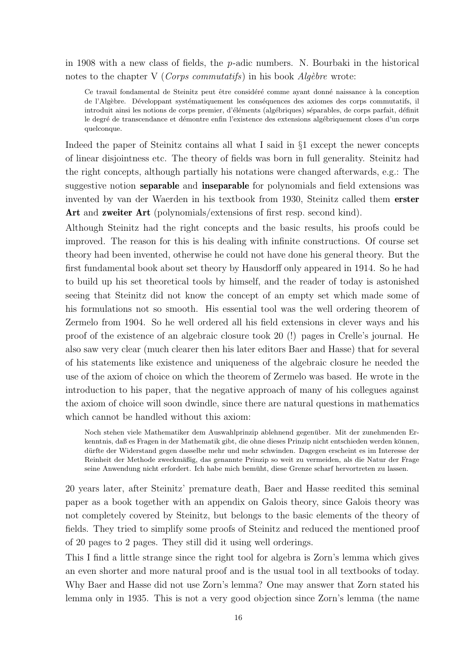in 1908 with a new class of fields, the p-adic numbers. N. Bourbaki in the historical notes to the chapter V (*Corps commutatifs*) in his book *Algèbre* wrote:

Ce travail fondamental de Steinitz peut être considéré comme ayant donné naissance à la conception de l'Algèbre. Développant systématiquement les conséquences des axiomes des corps commutatifs, il introduit ainsi les notions de corps premier, d'éléments (algébriques) séparables, de corps parfait, définit le degré de transcendance et démontre enfin l'existence des extensions algébriquement closes d'un corps quelconque.

Indeed the paper of Steinitz contains all what I said in §1 except the newer concepts of linear disjointness etc. The theory of fields was born in full generality. Steinitz had the right concepts, although partially his notations were changed afterwards, e.g.: The suggestive notion separable and inseparable for polynomials and field extensions was invented by van der Waerden in his textbook from 1930, Steinitz called them erster Art and zweiter Art (polynomials/extensions of first resp. second kind).

Although Steinitz had the right concepts and the basic results, his proofs could be improved. The reason for this is his dealing with infinite constructions. Of course set theory had been invented, otherwise he could not have done his general theory. But the first fundamental book about set theory by Hausdorff only appeared in 1914. So he had to build up his set theoretical tools by himself, and the reader of today is astonished seeing that Steinitz did not know the concept of an empty set which made some of his formulations not so smooth. His essential tool was the well ordering theorem of Zermelo from 1904. So he well ordered all his field extensions in clever ways and his proof of the existence of an algebraic closure took 20 (!) pages in Crelle's journal. He also saw very clear (much clearer then his later editors Baer and Hasse) that for several of his statements like existence and uniqueness of the algebraic closure he needed the use of the axiom of choice on which the theorem of Zermelo was based. He wrote in the introduction to his paper, that the negative approach of many of his collegues against the axiom of choice will soon dwindle, since there are natural questions in mathematics which cannot be handled without this axiom:

Noch stehen viele Mathematiker dem Auswahlprinzip ablehnend gegenüber. Mit der zunehmenden Erkenntnis, daß es Fragen in der Mathematik gibt, die ohne dieses Prinzip nicht entschieden werden können, dürfte der Widerstand gegen dasselbe mehr und mehr schwinden. Dagegen erscheint es im Interesse der Reinheit der Methode zweckmäßig, das genannte Prinzip so weit zu vermeiden, als die Natur der Frage seine Anwendung nicht erfordert. Ich habe mich bemüht, diese Grenze scharf hervortreten zu lassen.

20 years later, after Steinitz' premature death, Baer and Hasse reedited this seminal paper as a book together with an appendix on Galois theory, since Galois theory was not completely covered by Steinitz, but belongs to the basic elements of the theory of fields. They tried to simplify some proofs of Steinitz and reduced the mentioned proof of 20 pages to 2 pages. They still did it using well orderings.

This I find a little strange since the right tool for algebra is Zorn's lemma which gives an even shorter and more natural proof and is the usual tool in all textbooks of today. Why Baer and Hasse did not use Zorn's lemma? One may answer that Zorn stated his lemma only in 1935. This is not a very good objection since Zorn's lemma (the name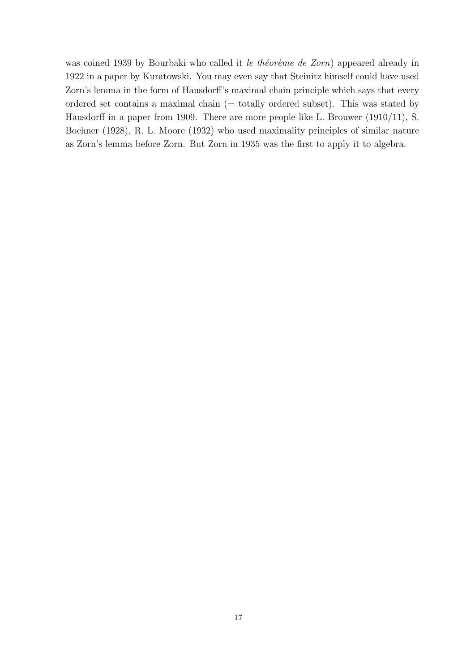was coined 1939 by Bourbaki who called it le théorème de Zorn) appeared already in 1922 in a paper by Kuratowski. You may even say that Steinitz himself could have used Zorn's lemma in the form of Hausdorff's maximal chain principle which says that every ordered set contains a maximal chain (= totally ordered subset). This was stated by Hausdorff in a paper from 1909. There are more people like L. Brouwer (1910/11), S. Bochner (1928), R. L. Moore (1932) who used maximality principles of similar nature as Zorn's lemma before Zorn. But Zorn in 1935 was the first to apply it to algebra.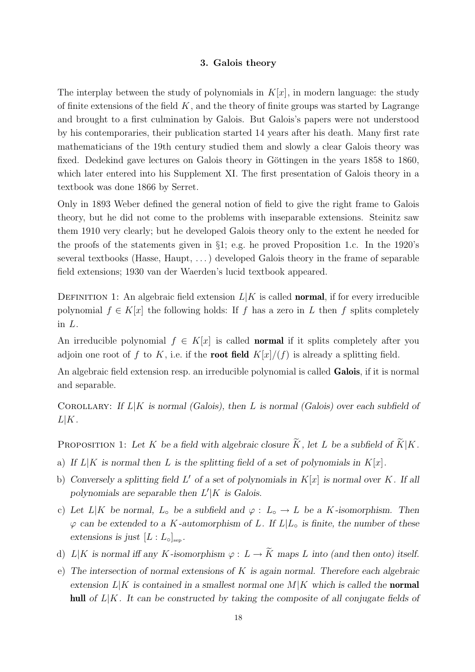#### 3. Galois theory

The interplay between the study of polynomials in  $K[x]$ , in modern language: the study of finite extensions of the field  $K$ , and the theory of finite groups was started by Lagrange and brought to a first culmination by Galois. But Galois's papers were not understood by his contemporaries, their publication started 14 years after his death. Many first rate mathematicians of the 19th century studied them and slowly a clear Galois theory was fixed. Dedekind gave lectures on Galois theory in Göttingen in the years 1858 to 1860, which later entered into his Supplement XI. The first presentation of Galois theory in a textbook was done 1866 by Serret.

Only in 1893 Weber defined the general notion of field to give the right frame to Galois theory, but he did not come to the problems with inseparable extensions. Steinitz saw them 1910 very clearly; but he developed Galois theory only to the extent he needed for the proofs of the statements given in §1; e.g. he proved Proposition 1.c. In the 1920's several textbooks (Hasse, Haupt, . . .) developed Galois theory in the frame of separable field extensions; 1930 van der Waerden's lucid textbook appeared.

DEFINITION 1: An algebraic field extension  $L|K$  is called **normal**, if for every irreducible polynomial  $f \in K[x]$  the following holds: If f has a zero in L then f splits completely in L.

An irreducible polynomial  $f \in K[x]$  is called **normal** if it splits completely after you adjoin one root of f to K, i.e. if the **root field**  $K[x]/(f)$  is already a splitting field.

An algebraic field extension resp. an irreducible polynomial is called **Galois**, if it is normal and separable.

COROLLARY: If  $L|K$  is normal (Galois), then L is normal (Galois) over each subfield of  $L|K$ .

PROPOSITION 1: Let K be a field with algebraic closure  $\widetilde{K}$ , let L be a subfield of  $\widetilde{K}|K$ .

- a) If  $L|K$  is normal then L is the splitting field of a set of polynomials in  $K[x]$ .
- b) Conversely a splitting field  $L'$  of a set of polynomials in  $K[x]$  is normal over K. If all polynomials are separable then  $L'|K$  is Galois.
- c) Let  $L|K$  be normal,  $L_{\circ}$  be a subfield and  $\varphi : L_{\circ} \to L$  be a K-isomorphism. Then  $\varphi$  can be extended to a K-automorphism of L. If  $L|L_{\circ}$  is finite, the number of these extensions is just  $[L: L_{\circ}]_{\text{sep}}$ .
- d) L|K is normal iff any K-isomorphism  $\varphi: L \to \widetilde{K}$  maps L into (and then onto) itself.
- e) The intersection of normal extensions of  $K$  is again normal. Therefore each algebraic extension  $L|K$  is contained in a smallest normal one  $M|K$  which is called the **normal** hull of  $L|K$ . It can be constructed by taking the composite of all conjugate fields of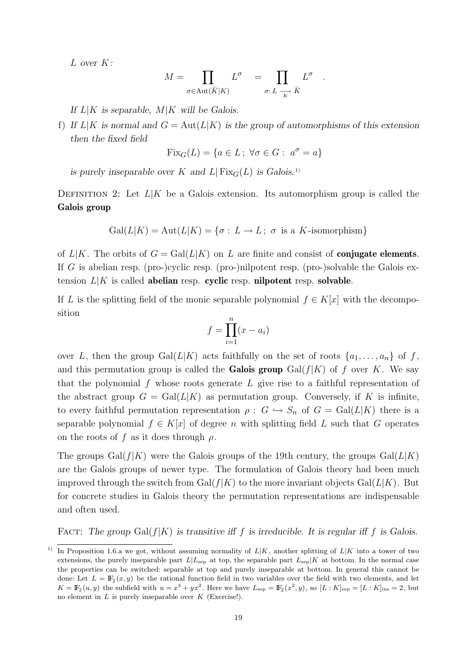L over K:

$$
M = \prod_{\sigma \in \text{Aut}(\widetilde{K}|K)} L^{\sigma} = \prod_{\sigma: L} \frac{L^{\sigma}}{\frac{K}{K}}
$$

.

If  $L|K$  is separable,  $M|K$  will be Galois.

f) If  $L|K$  is normal and  $G = Aut(L|K)$  is the group of automorphisms of this extension then the fixed field

$$
Fix_G(L) = \{a \in L \, ; \, \forall \sigma \in G : \, a^{\sigma} = a\}
$$

is purely inseparable over K and  $L|\text{Fix}_G(L)|$  is Galois.<sup>1)</sup>

DEFINITION 2: Let  $L|K$  be a Galois extension. Its automorphism group is called the Galois group

$$
Gal(L|K) = Aut(L|K) = \{ \sigma : L \to L \, ; \, \sigma \text{ is a } K \text{-isomorphism} \}
$$

of  $L|K$ . The orbits of  $G = \text{Gal}(L|K)$  on L are finite and consist of **conjugate elements**. If G is abelian resp. (pro-)cyclic resp. (pro-)nilpotent resp. (pro-)solvable the Galois extension  $L|K$  is called abelian resp. cyclic resp. nilpotent resp. solvable.

If L is the splitting field of the monic separable polynomial  $f \in K[x]$  with the decomposition

$$
f = \prod_{i=1}^{n} (x - a_i)
$$

over L, then the group  $Gal(L|K)$  acts faithfully on the set of roots  $\{a_1, \ldots, a_n\}$  of f, and this permutation group is called the **Galois group** Gal( $f|K$ ) of f over K. We say that the polynomial  $f$  whose roots generate  $L$  give rise to a faithful representation of the abstract group  $G = \text{Gal}(L|K)$  as permutation group. Conversely, if K is infinite, to every faithful permutation representation  $\rho : G \hookrightarrow S_n$  of  $G = \text{Gal}(L|K)$  there is a separable polynomial  $f \in K[x]$  of degree n with splitting field L such that G operates on the roots of f as it does through  $\rho$ .

The groups Gal( $f|K$ ) were the Galois groups of the 19th century, the groups  $Gal(L|K)$ are the Galois groups of newer type. The formulation of Galois theory had been much improved through the switch from Gal( $f|K$ ) to the more invariant objects Gal( $L|K$ ). But for concrete studies in Galois theory the permutation representations are indispensable and often used.

FACT: The group Gal( $f|K$ ) is transitive iff f is irreducible. It is regular iff f is Galois.

<sup>&</sup>lt;sup>1)</sup> In Proposition 1.6.a we got, without assuming normality of  $L|K$ , another splitting of  $L|K$  into a tower of two extensions, the purely inseparable part  $L|L<sub>sep</sub>$  at top, the separable part  $L<sub>sep</sub>|K$  at bottom. In the normal case the properties can be switched: separable at top and purely inseparable at bottom. In general this cannot be done: Let  $L = \mathbb{F}_2(x, y)$  be the rational function field in two variables over the field with two elements, and let  $K = \mathbb{F}_2(u, y)$  the subfield with  $u = x^4 + yx^2$ . Here we have  $L_{\text{sep}} = \mathbb{F}_2(x^2, y)$ , so  $[L: K]_{\text{sep}} = [L: K]_{\text{ins}} = 2$ , but no element in  $L$  is purely inseparable over  $K$  (Exercise!).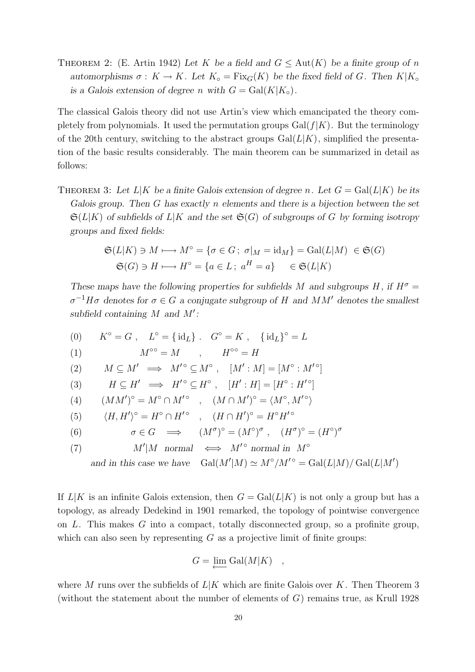THEOREM 2: (E. Artin 1942) Let K be a field and  $G \leq \text{Aut}(K)$  be a finite group of n automorphisms  $\sigma : K \to K$ . Let  $K_{\circ} = \text{Fix}_G(K)$  be the fixed field of G. Then  $K|K_{\circ}$ is a Galois extension of degree n with  $G = \text{Gal}(K|K_{\circ})$ .

The classical Galois theory did not use Artin's view which emancipated the theory completely from polynomials. It used the permutation groups  $Gal(f|K)$ . But the terminology of the 20th century, switching to the abstract groups  $Gal(L|K)$ , simplified the presentation of the basic results considerably. The main theorem can be summarized in detail as follows:

THEOREM 3: Let  $L|K$  be a finite Galois extension of degree n. Let  $G = \text{Gal}(L|K)$  be its Galois group. Then G has exactly n elements and there is a bijection between the set  $\mathfrak{S}(L|K)$  of subfields of  $L|K$  and the set  $\mathfrak{S}(G)$  of subgroups of G by forming isotropy groups and fixed fields:

$$
\mathfrak{S}(L|K) \ni M \longmapsto M^{\circ} = \{ \sigma \in G \, ; \, \sigma|_M = \text{id}_M \} = \text{Gal}(L|M) \in \mathfrak{S}(G)
$$

$$
\mathfrak{S}(G) \ni H \longmapsto H^{\circ} = \{ a \in L \, ; \, a^H = a \} \in \mathfrak{S}(L|K)
$$

These maps have the following properties for subfields M and subgroups H, if  $H^{\sigma}$  =  $\sigma^{-1}H\sigma$  denotes for  $\sigma \in G$  a conjugate subgroup of H and MM' denotes the smallest subfield containing  $M$  and  $M'$ :

(0) 
$$
K^{\circ} = G
$$
,  $L^{\circ} = {\text{id}}_L$  ,  $G^{\circ} = K$ ,  ${\text{id}}_L}^{\circ} = L$   
\n(1)  $M^{\circ\circ} = M$ ,  $H^{\circ\circ} = H$   
\n(2)  $M \subseteq M' \implies M'^{\circ} \subseteq M^{\circ}$ ,  $[M': M] = [M^{\circ} : M'^{\circ}]$   
\n(3)  $H \subseteq H' \implies H'^{\circ} \subseteq H^{\circ}$ ,  $[H': H] = [H^{\circ} : H'^{\circ}]$   
\n(4)  $(MM')^{\circ} = M^{\circ} \cap M'^{\circ}$ ,  $(M \cap M')^{\circ} = \langle M^{\circ}, M'^{\circ} \rangle$   
\n(5)  $\langle H, H' \rangle^{\circ} = H^{\circ} \cap H'^{\circ}$ ,  $(H \cap H')^{\circ} = H^{\circ} H'^{\circ}$   
\n(6)  $\sigma \in G \implies (M^{\sigma})^{\circ} = (M^{\circ})^{\sigma}$ ,  $(H^{\sigma})^{\circ} = (H^{\circ})^{\sigma}$   
\n(7)  $M'|M \text{ normal} \iff M'^{\circ} \text{ normal in } M^{\circ}$   
\nand in this case we have  $Gal(M'|M) \simeq M^{\circ}/M'^{\circ} = Gal(L|M)/ Gal(L|M')$ 

If  $L|K$  is an infinite Galois extension, then  $G = \text{Gal}(L|K)$  is not only a group but has a topology, as already Dedekind in 1901 remarked, the topology of pointwise convergence on  $L$ . This makes  $G$  into a compact, totally disconnected group, so a profinite group, which can also seen by representing  $G$  as a projective limit of finite groups:

$$
G = \underline{\lim} \: \text{Gal}(M|K) \quad ,
$$

where M runs over the subfields of  $L|K$  which are finite Galois over K. Then Theorem 3 (without the statement about the number of elements of  $G$ ) remains true, as Krull 1928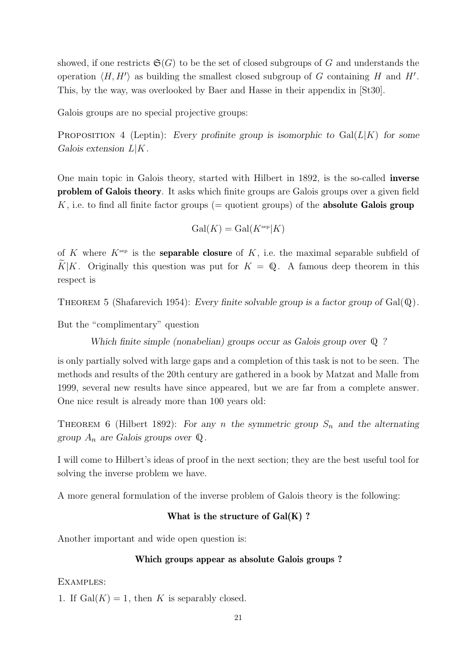showed, if one restricts  $\mathfrak{S}(G)$  to be the set of closed subgroups of G and understands the operation  $\langle H, H' \rangle$  as building the smallest closed subgroup of G containing H and H'. This, by the way, was overlooked by Baer and Hasse in their appendix in [St30].

Galois groups are no special projective groups:

PROPOSITION 4 (Leptin): Every profinite group is isomorphic to  $Gal(L|K)$  for some Galois extension  $L|K$ .

One main topic in Galois theory, started with Hilbert in 1892, is the so-called inverse problem of Galois theory. It asks which finite groups are Galois groups over a given field K, i.e. to find all finite factor groups ( $=$  quotient groups) of the **absolute Galois group** 

$$
Gal(K) = Gal(K^{\text{sep}}|K)
$$

of K where  $K^{\text{sep}}$  is the **separable closure** of K, i.e. the maximal separable subfield of  $K|K$ . Originally this question was put for  $K = \mathbb{Q}$ . A famous deep theorem in this respect is

THEOREM 5 (Shafarevich 1954): Every finite solvable group is a factor group of  $Gal(\mathbb{Q})$ .

But the "complimentary" question

Which finite simple (nonabelian) groups occur as Galois group over  $\mathbb Q$  ?

is only partially solved with large gaps and a completion of this task is not to be seen. The methods and results of the 20th century are gathered in a book by Matzat and Malle from 1999, several new results have since appeared, but we are far from a complete answer. One nice result is already more than 100 years old:

THEOREM 6 (Hilbert 1892): For any n the symmetric group  $S_n$  and the alternating group  $A_n$  are Galois groups over  $\mathbb Q$ .

I will come to Hilbert's ideas of proof in the next section; they are the best useful tool for solving the inverse problem we have.

A more general formulation of the inverse problem of Galois theory is the following:

### What is the structure of  $Gal(K)$  ?

Another important and wide open question is:

#### Which groups appear as absolute Galois groups ?

EXAMPLES:

1. If  $Gal(K) = 1$ , then K is separably closed.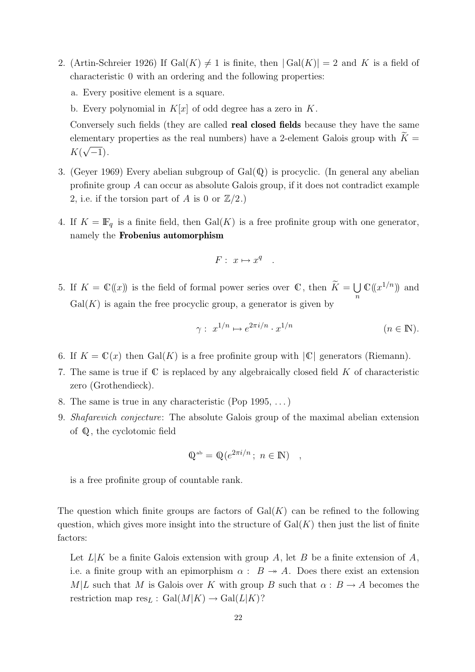- 2. (Artin-Schreier 1926) If  $Gal(K) \neq 1$  is finite, then  $| Gal(K) | = 2$  and K is a field of characteristic 0 with an ordering and the following properties:
	- a. Every positive element is a square.
	- b. Every polynomial in  $K[x]$  of odd degree has a zero in K.

Conversely such fields (they are called real closed fields because they have the same elementary properties as the real numbers) have a 2-element Galois group with  $K =$  $K(\sqrt{-1})$ .

- 3. (Geyer 1969) Every abelian subgroup of  $Gal(\mathbb{Q})$  is procyclic. (In general any abelian profinite group A can occur as absolute Galois group, if it does not contradict example 2, i.e. if the torsion part of A is 0 or  $\mathbb{Z}/2$ .)
- 4. If  $K = \mathbb{F}_q$  is a finite field, then  $Gal(K)$  is a free profinite group with one generator, namely the Frobenius automorphism

$$
F: x \mapsto x^q \quad .
$$

5. If  $K = \mathbb{C}(\!(x)\!)$  is the field of formal power series over  $\mathbb{C}$ , then  $K = \bigcup_{n=1}^{\infty} K_n$ n  $\mathbb{C}(\!(x^{1/n})\!)$  and  $Gal(K)$  is again the free procyclic group, a generator is given by

$$
\gamma: \ x^{1/n} \mapsto e^{2\pi i/n} \cdot x^{1/n} \qquad (n \in \mathbb{N}).
$$

- 6. If  $K = \mathbb{C}(x)$  then  $Gal(K)$  is a free profinite group with  $|\mathbb{C}|$  generators (Riemann).
- 7. The same is true if  $\mathbb C$  is replaced by any algebraically closed field  $K$  of characteristic zero (Grothendieck).
- 8. The same is true in any characteristic (Pop 1995, . . .)
- 9. Shafarevich conjecture: The absolute Galois group of the maximal abelian extension of Q, the cyclotomic field

$$
\mathbb{Q}^{\mathrm{ab}} = \mathbb{Q}(e^{2\pi i/n}; n \in \mathbb{N}) \quad ,
$$

is a free profinite group of countable rank.

The question which finite groups are factors of  $Gal(K)$  can be refined to the following question, which gives more insight into the structure of  $Gal(K)$  then just the list of finite factors:

Let  $L|K$  be a finite Galois extension with group A, let B be a finite extension of A, i.e. a finite group with an epimorphism  $\alpha : B \rightarrow A$ . Does there exist an extension M|L such that M is Galois over K with group B such that  $\alpha : B \to A$  becomes the restriction map  $res_L : Gal(M|K) \rightarrow Gal(L|K)$ ?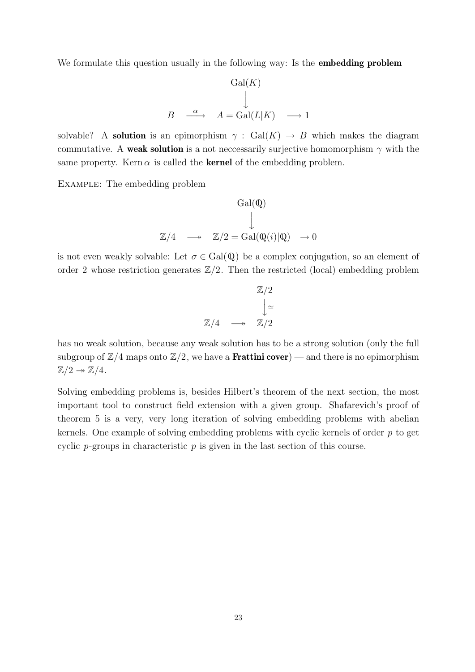We formulate this question usually in the following way: Is the **embedding problem** 

$$
\begin{array}{ccc}\n & \mathrm{Gal}(K) \\
 & \downarrow \\
B & \xrightarrow{\alpha} & A = \mathrm{Gal}(L|K) \longrightarrow 1\n\end{array}
$$

solvable? A **solution** is an epimorphism  $\gamma$  : Gal(K)  $\rightarrow$  B which makes the diagram commutative. A weak solution is a not necessarily surjective homomorphism  $\gamma$  with the same property. Kern  $\alpha$  is called the **kernel** of the embedding problem.

Example: The embedding problem

$$
\mathrm{Gal}(\mathbb{Q})
$$

$$
\downarrow
$$

$$
\mathbb{Z}/4 \longrightarrow \mathbb{Z}/2 = \mathrm{Gal}(\mathbb{Q}(i)|\mathbb{Q}) \longrightarrow 0
$$

is not even weakly solvable: Let  $\sigma \in \text{Gal}(\mathbb{Q})$  be a complex conjugation, so an element of order 2 whose restriction generates  $\mathbb{Z}/2$ . Then the restricted (local) embedding problem

$$
\begin{array}{ccc}\n\mathbb{Z}/2\\ \n\downarrow \simeq\\ \n\mathbb{Z}/4 & \longrightarrow & \mathbb{Z}/2\n\end{array}
$$

has no weak solution, because any weak solution has to be a strong solution (only the full subgroup of  $\mathbb{Z}/4$  maps onto  $\mathbb{Z}/2$ , we have a **Frattini cover**) — and there is no epimorphism  $\mathbb{Z}/2 \rightarrow \mathbb{Z}/4$ .

Solving embedding problems is, besides Hilbert's theorem of the next section, the most important tool to construct field extension with a given group. Shafarevich's proof of theorem 5 is a very, very long iteration of solving embedding problems with abelian kernels. One example of solving embedding problems with cyclic kernels of order  $p$  to get cyclic  $p$ -groups in characteristic  $p$  is given in the last section of this course.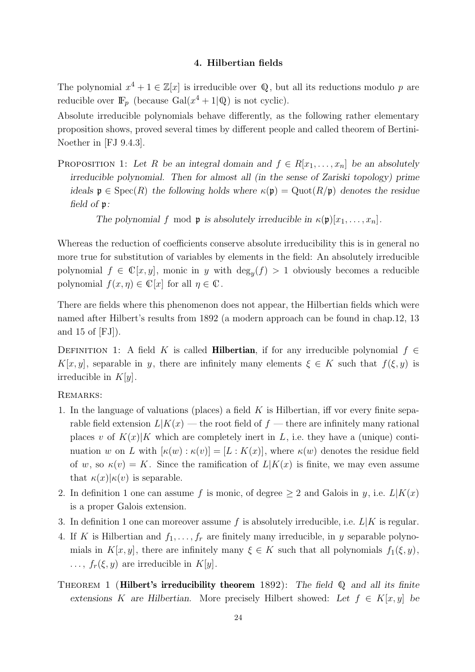#### 4. Hilbertian fields

The polynomial  $x^4 + 1 \in \mathbb{Z}[x]$  is irreducible over Q, but all its reductions modulo p are reducible over  $\mathbb{F}_p$  (because  $Gal(x^4 + 1|Q)$  is not cyclic).

Absolute irreducible polynomials behave differently, as the following rather elementary proposition shows, proved several times by different people and called theorem of Bertini-Noether in [FJ 9.4.3].

PROPOSITION 1: Let R be an integral domain and  $f \in R[x_1, \ldots, x_n]$  be an absolutely irreducible polynomial. Then for almost all (in the sense of Zariski topology) prime ideals  $\mathfrak{p} \in \text{Spec}(R)$  the following holds where  $\kappa(\mathfrak{p}) = \text{Quot}(R/\mathfrak{p})$  denotes the residue field of p:

The polynomial f mod **p** is absolutely irreducible in  $\kappa(\mathfrak{p})[x_1, \ldots, x_n]$ .

Whereas the reduction of coefficients conserve absolute irreducibility this is in general no more true for substitution of variables by elements in the field: An absolutely irreducible polynomial  $f \in \mathbb{C}[x, y]$ , monic in y with  $\deg_y(f) > 1$  obviously becomes a reducible polynomial  $f(x, \eta) \in \mathbb{C}[x]$  for all  $\eta \in \mathbb{C}$ .

There are fields where this phenomenon does not appear, the Hilbertian fields which were named after Hilbert's results from 1892 (a modern approach can be found in chap.12, 13 and 15 of [FJ]).

DEFINITION 1: A field K is called **Hilbertian**, if for any irreducible polynomial  $f \in$  $K[x, y]$ , separable in y, there are infinitely many elements  $\xi \in K$  such that  $f(\xi, y)$  is irreducible in  $K[y]$ .

### Remarks:

- 1. In the language of valuations (places) a field  $K$  is Hilbertian, iff vor every finite separable field extension  $L|K(x)$  — the root field of f — there are infinitely many rational places v of  $K(x)|K$  which are completely inert in L, i.e. they have a (unique) continuation w on L with  $[\kappa(w) : \kappa(v)] = [L : K(x)]$ , where  $\kappa(w)$  denotes the residue field of w, so  $\kappa(v) = K$ . Since the ramification of  $L|K(x)$  is finite, we may even assume that  $\kappa(x)|\kappa(v)$  is separable.
- 2. In definition 1 one can assume f is monic, of degree  $\geq 2$  and Galois in y, i.e.  $L|K(x)$ is a proper Galois extension.
- 3. In definition 1 one can moreover assume f is absolutely irreducible, i.e.  $L|K$  is regular.
- 4. If K is Hilbertian and  $f_1, \ldots, f_r$  are finitely many irreducible, in y separable polynomials in  $K[x, y]$ , there are infinitely many  $\xi \in K$  such that all polynomials  $f_1(\xi, y)$ ,  $\ldots$ ,  $f_r(\xi, y)$  are irreducible in  $K[y]$ .
- THEOREM 1 (**Hilbert's irreducibility theorem** 1892): The field  $\mathbb{Q}$  and all its finite extensions K are Hilbertian. More precisely Hilbert showed: Let  $f \in K[x, y]$  be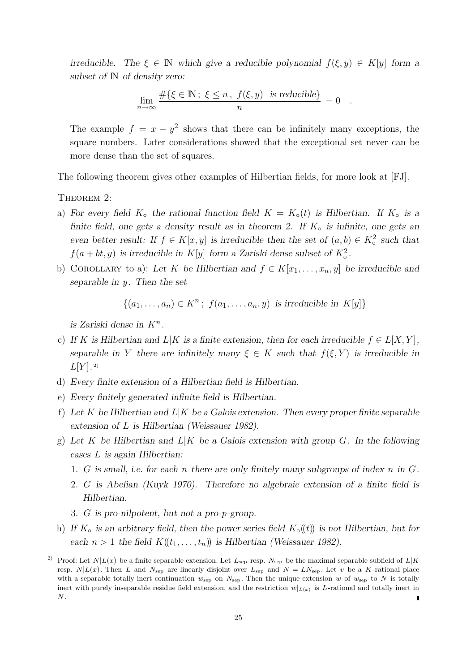irreducible. The  $\xi \in \mathbb{N}$  which give a reducible polynomial  $f(\xi, y) \in K[y]$  form a subset of  $\mathbb N$  of density zero:

$$
\lim_{n \to \infty} \frac{\#\{\xi \in \mathbb{N} \colon \xi \le n, \ f(\xi, y) \ \text{ is reducible}\}}{n} = 0.
$$

The example  $f = x - y^2$  shows that there can be infinitely many exceptions, the square numbers. Later considerations showed that the exceptional set never can be more dense than the set of squares.

The following theorem gives other examples of Hilbertian fields, for more look at [FJ].

THEOREM 2:

- a) For every field  $K<sub>o</sub>$  the rational function field  $K = K<sub>o</sub>(t)$  is Hilbertian. If  $K<sub>o</sub>$  is a finite field, one gets a density result as in theorem 2. If  $K_0$  is infinite, one gets an even better result: If  $f \in K[x, y]$  is irreducible then the set of  $(a, b) \in K^2_{\text{o}}$  such that  $f(a + bt, y)$  is irreducible in  $K[y]$  form a Zariski dense subset of  $K^2_{\circ}$ .
- b) COROLLARY to a): Let K be Hilbertian and  $f \in K[x_1, \ldots, x_n, y]$  be irreducible and separable in y. Then the set

$$
\{(a_1, \ldots, a_n) \in K^n; f(a_1, \ldots, a_n, y) \text{ is irreducible in } K[y] \}
$$

is Zariski dense in  $K^n$ .

- c) If K is Hilbertian and  $L|K$  is a finite extension, then for each irreducible  $f \in L[X, Y]$ , separable in Y there are infinitely many  $\xi \in K$  such that  $f(\xi, Y)$  is irreducible in  $L[Y]$ .<sup>2)</sup>
- d) Every finite extension of a Hilbertian field is Hilbertian.
- e) Every finitely generated infinite field is Hilbertian.
- f) Let K be Hilbertian and  $L|K$  be a Galois extension. Then every proper finite separable extension of L is Hilbertian (Weissauer 1982).
- g) Let K be Hilbertian and  $L|K$  be a Galois extension with group G. In the following cases L is again Hilbertian:
	- 1. G is small, i.e. for each n there are only finitely many subgroups of index n in  $G$ .
	- 2. G is Abelian (Kuyk 1970). Therefore no algebraic extension of a finite field is Hilbertian.
	- 3. G is pro-nilpotent, but not a pro-p-group.
- h) If  $K_{\rm o}$  is an arbitrary field, then the power series field  $K_{\rm o}(t)$  is not Hilbertian, but for each  $n > 1$  the field  $K(\lbrace t_1, \ldots, t_n \rbrace)$  is Hilbertian (Weissauer 1982).

<sup>&</sup>lt;sup>2)</sup> Proof: Let  $N|L(x)$  be a finite separable extension. Let  $L_{\text{sep}}$  resp.  $N_{\text{sep}}$  be the maximal separable subfield of  $L|K$ resp.  $N|L(x)$ . Then L and  $N_{\text{sep}}$  are linearly disjoint over  $L_{\text{sep}}$  and  $N = LN_{\text{sep}}$ . Let v be a K-rational place with a separable totally inert continuation  $w_{\text{sep}}$  on  $N_{\text{sep}}$ . Then the unique extension w of  $w_{\text{sep}}$  to N is totally inert with purely inseparable residue field extension, and the restriction  $w|_{L(x)}$  is L-rational and totally inert in  $N$  .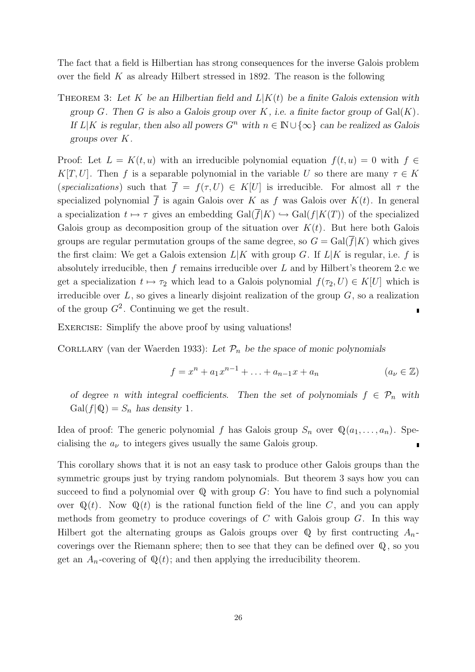The fact that a field is Hilbertian has strong consequences for the inverse Galois problem over the field  $K$  as already Hilbert stressed in 1892. The reason is the following

THEOREM 3: Let K be an Hilbertian field and  $L|K(t)$  be a finite Galois extension with group  $G$ . Then  $G$  is also a Galois group over  $K$ , i.e. a finite factor group of  $Gal(K)$ . If  $L|K$  is regular, then also all powers  $G^n$  with  $n \in \mathbb{N} \cup \{\infty\}$  can be realized as Galois groups over K.

Proof: Let  $L = K(t, u)$  with an irreducible polynomial equation  $f(t, u) = 0$  with  $f \in$ K[T, U]. Then f is a separable polynomial in the variable U so there are many  $\tau \in K$ (specializations) such that  $\overline{f} = f(\tau, U) \in K[U]$  is irreducible. For almost all  $\tau$  the specialized polynomial  $\overline{f}$  is again Galois over K as f was Galois over  $K(t)$ . In general a specialization  $t \mapsto \tau$  gives an embedding  $Gal(\overline{f}|K) \hookrightarrow Gal(f|K(T))$  of the specialized Galois group as decomposition group of the situation over  $K(t)$ . But here both Galois groups are regular permutation groups of the same degree, so  $G = \text{Gal}(f|K)$  which gives the first claim: We get a Galois extension  $L|K$  with group G. If  $L|K$  is regular, i.e. f is absolutely irreducible, then f remains irreducible over L and by Hilbert's theorem 2.c we get a specialization  $t \mapsto \tau_2$  which lead to a Galois polynomial  $f(\tau_2, U) \in K[U]$  which is irreducible over  $L$ , so gives a linearly disjoint realization of the group  $G$ , so a realization of the group  $G^2$ . Continuing we get the result.

EXERCISE: Simplify the above proof by using valuations!

CORLLARY (van der Waerden 1933): Let  $\mathcal{P}_n$  be the space of monic polynomials

$$
f = x^{n} + a_{1}x^{n-1} + \ldots + a_{n-1}x + a_{n} \qquad (a_{\nu} \in \mathbb{Z})
$$

of degree n with integral coefficients. Then the set of polynomials  $f \in \mathcal{P}_n$  with  $Gal(f|Q) = S_n$  has density 1.

Idea of proof: The generic polynomial f has Galois group  $S_n$  over  $\mathbb{Q}(a_1, \ldots, a_n)$ . Specialising the  $a_{\nu}$  to integers gives usually the same Galois group.  $\blacksquare$ 

This corollary shows that it is not an easy task to produce other Galois groups than the symmetric groups just by trying random polynomials. But theorem 3 says how you can succeed to find a polynomial over  $\mathbb Q$  with group  $G$ : You have to find such a polynomial over  $\mathbb{Q}(t)$ . Now  $\mathbb{Q}(t)$  is the rational function field of the line C, and you can apply methods from geometry to produce coverings of  $C$  with Galois group  $G$ . In this way Hilbert got the alternating groups as Galois groups over  $\mathbb Q$  by first contructing  $A_n$ coverings over the Riemann sphere; then to see that they can be defined over Q, so you get an  $A_n$ -covering of  $\mathbb{Q}(t)$ ; and then applying the irreducibility theorem.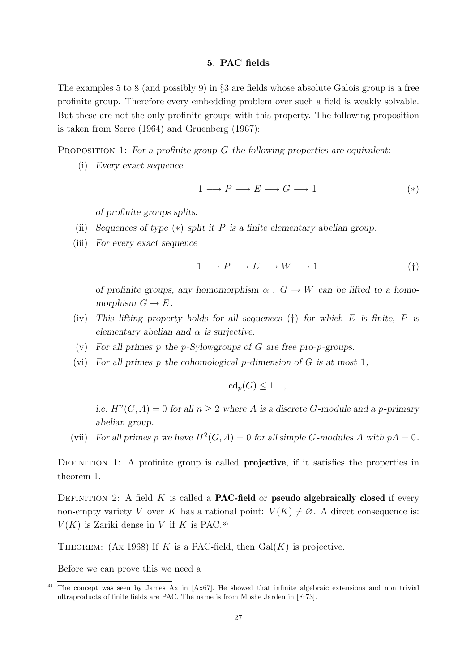#### 5. PAC fields

The examples 5 to 8 (and possibly 9) in §3 are fields whose absolute Galois group is a free profinite group. Therefore every embedding problem over such a field is weakly solvable. But these are not the only profinite groups with this property. The following proposition is taken from Serre (1964) and Gruenberg (1967):

#### PROPOSITION 1: For a profinite group  $G$  the following properties are equivalent:

(i) Every exact sequence

$$
1 \longrightarrow P \longrightarrow E \longrightarrow G \longrightarrow 1 \tag{*}
$$

of profinite groups splits.

- (ii) Sequences of type  $(*)$  split it P is a finite elementary abelian group.
- (iii) For every exact sequence

$$
1 \longrightarrow P \longrightarrow E \longrightarrow W \longrightarrow 1 \tag{\dagger}
$$

of profinite groups, any homomorphism  $\alpha : G \to W$  can be lifted to a homomorphism  $G \to E$ .

- (iv) This lifting property holds for all sequences  $(\dagger)$  for which E is finite, P is elementary abelian and  $\alpha$  is surjective.
- (v) For all primes p the p-Sylowgroups of G are free pro-p-groups.
- (vi) For all primes p the cohomological p-dimension of  $G$  is at most 1,

$$
cd_p(G) \le 1 \quad ,
$$

i.e.  $H^{n}(G, A) = 0$  for all  $n \geq 2$  where A is a discrete G-module and a p-primary abelian group.

(vii) For all primes p we have  $H^2(G, A) = 0$  for all simple G-modules A with  $pA = 0$ .

DEFINITION 1: A profinite group is called **projective**, if it satisfies the properties in theorem 1.

DEFINITION 2: A field K is called a **PAC-field** or **pseudo algebraically closed** if every non-empty variety V over K has a rational point:  $V(K) \neq \emptyset$ . A direct consequence is:  $V(K)$  is Zariki dense in V if K is PAC.<sup>3)</sup>

THEOREM: (Ax 1968) If K is a PAC-field, then  $Gal(K)$  is projective.

Before we can prove this we need a

<sup>3)</sup> The concept was seen by James Ax in [Ax67]. He showed that infinite algebraic extensions and non trivial ultraproducts of finite fields are PAC. The name is from Moshe Jarden in [Fr73].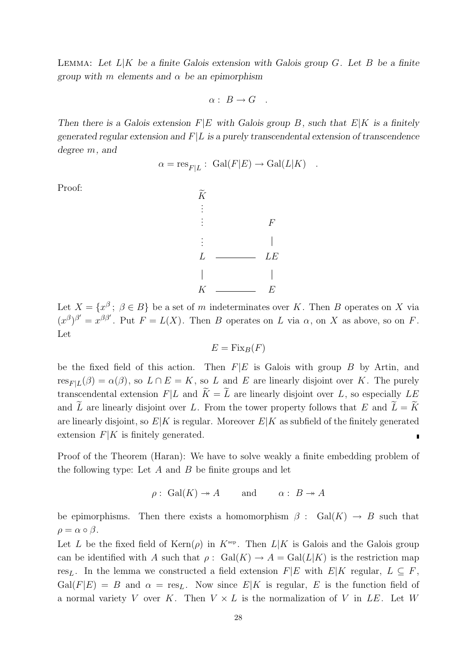LEMMA: Let  $L|K$  be a finite Galois extension with Galois group G. Let B be a finite group with m elements and  $\alpha$  be an epimorphism

$$
\alpha: B \to G .
$$

Then there is a Galois extension  $F|E$  with Galois group B, such that  $E|K$  is a finitely generated regular extension and  $F|L$  is a purely transcendental extension of transcendence degree m, and

$$
\alpha = \mathrm{res}_{F|L} : \ \mathrm{Gal}(F|E) \to \mathrm{Gal}(L|K) \quad .
$$

Proof:



Let  $X = \{x^{\beta} \, ; \, \beta \in B\}$  be a set of m indeterminates over K. Then B operates on X via  $(x^{\beta})^{\beta'} = x^{\beta \beta'}$ . Put  $F = L(X)$ . Then B operates on L via  $\alpha$ , on X as above, so on F. Let

$$
E = \operatorname{Fix}_B(F)
$$

be the fixed field of this action. Then  $F|E$  is Galois with group  $B$  by Artin, and  $res_{F|L}(\beta) = \alpha(\beta)$ , so  $L \cap E = K$ , so L and E are linearly disjoint over K. The purely transcendental extension  $F|L$  and  $\widetilde{K} = \widetilde{L}$  are linearly disjoint over L, so especially LE and  $\tilde{L}$  are linearly disjoint over L. From the tower property follows that E and  $\tilde{L} = \tilde{K}$ are linearly disjoint, so  $E|K$  is regular. Moreover  $E|K$  as subfield of the finitely generated extension  $F|K$  is finitely generated. Ė

Proof of the Theorem (Haran): We have to solve weakly a finite embedding problem of the following type: Let  $A$  and  $B$  be finite groups and let

 $\rho: Gal(K) \to A$  and  $\alpha: B \to A$ 

be epimorphisms. Then there exists a homomorphism  $\beta$  : Gal(K)  $\rightarrow$  B such that  $\rho = \alpha \circ \beta$ .

Let L be the fixed field of  $\text{Kern}(\rho)$  in  $K^{\text{sep}}$ . Then  $L|K$  is Galois and the Galois group can be identified with A such that  $\rho: Gal(K) \to A = Gal(L|K)$  is the restriction map res<sub>L</sub>. In the lemma we constructed a field extension  $F|E$  with  $E|K$  regular,  $L \subseteq F$ ,  $Gal(F|E) = B$  and  $\alpha = \text{res}_L$ . Now since  $E|K$  is regular, E is the function field of a normal variety V over K. Then  $V \times L$  is the normalization of V in LE. Let W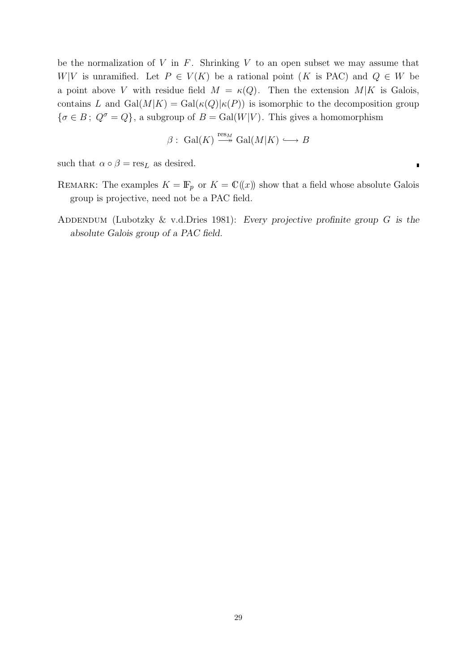be the normalization of  $V$  in  $F$ . Shrinking  $V$  to an open subset we may assume that W|V is unramified. Let  $P \in V(K)$  be a rational point (K is PAC) and  $Q \in W$  be a point above V with residue field  $M = \kappa(Q)$ . Then the extension  $M|K$  is Galois, contains L and  $Gal(M|K) = Gal(\kappa(Q)|\kappa(P))$  is isomorphic to the decomposition group  $\{\sigma \in B: Q^{\sigma} = Q\}$ , a subgroup of  $B = \text{Gal}(W|V)$ . This gives a homomorphism

$$
\beta: \; \mathrm{Gal}(K) \xrightarrow{\mathrm{res}_M} \mathrm{Gal}(M|K) \longrightarrow B
$$

Ľ

such that  $\alpha \circ \beta = \text{res}_L$  as desired.

- REMARK: The examples  $K = \mathbb{F}_p$  or  $K = \mathbb{C}(\!(x)\!)$  show that a field whose absolute Galois group is projective, need not be a PAC field.
- ADDENDUM (Lubotzky  $&$  v.d.Dries 1981): Every projective profinite group  $G$  is the absolute Galois group of a PAC field.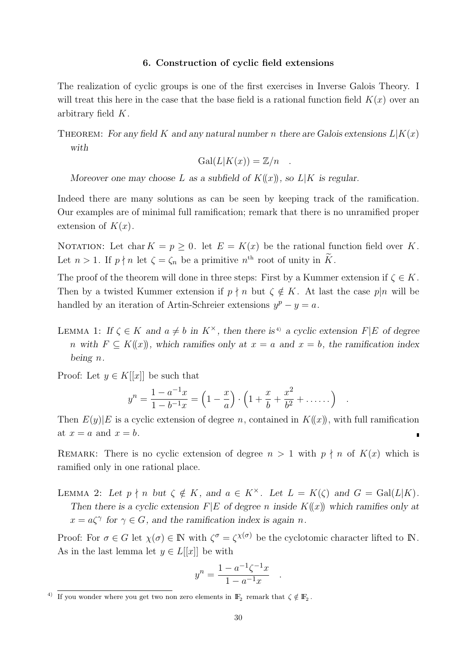#### 6. Construction of cyclic field extensions

The realization of cyclic groups is one of the first exercises in Inverse Galois Theory. I will treat this here in the case that the base field is a rational function field  $K(x)$  over an arbitrary field K.

THEOREM: For any field K and any natural number n there are Galois extensions  $L|K(x)$ with

$$
Gal(L|K(x)) = \mathbb{Z}/n .
$$

Moreover one may choose L as a subfield of  $K(\!(x)\!)$ , so  $L|K$  is regular.

Indeed there are many solutions as can be seen by keeping track of the ramification. Our examples are of minimal full ramification; remark that there is no unramified proper extension of  $K(x)$ .

NOTATION: Let char  $K = p \geq 0$ . let  $E = K(x)$  be the rational function field over K. Let  $n > 1$ . If  $p \nmid n$  let  $\zeta = \zeta_n$  be a primitive  $n^{\text{th}}$  root of unity in  $\widetilde{K}$ .

The proof of the theorem will done in three steps: First by a Kummer extension if  $\zeta \in K$ . Then by a twisted Kummer extension if  $p \nmid n$  but  $\zeta \notin K$ . At last the case  $p|n$  will be handled by an iteration of Artin-Schreier extensions  $y^p - y = a$ .

LEMMA 1: If  $\zeta \in K$  and  $a \neq b$  in  $K^{\times}$ , then there is<sup>4)</sup> a cyclic extension F|E of degree n with  $F \subseteq K(x)$ , which ramifies only at  $x = a$  and  $x = b$ , the ramification index being n.

Proof: Let  $y \in K[[x]]$  be such that

$$
y^{n} = \frac{1 - a^{-1}x}{1 - b^{-1}x} = \left(1 - \frac{x}{a}\right) \cdot \left(1 + \frac{x}{b} + \frac{x^{2}}{b^{2}} + \dots\right) \quad .
$$

Then  $E(y)|E$  is a cyclic extension of degree n, contained in  $K(x)$ , with full ramification at  $x = a$  and  $x = b$ .

REMARK: There is no cyclic extension of degree  $n > 1$  with  $p \nmid n$  of  $K(x)$  which is ramified only in one rational place.

LEMMA 2: Let  $p \nmid n$  but  $\zeta \notin K$ , and  $a \in K^{\times}$ . Let  $L = K(\zeta)$  and  $G = \text{Gal}(L|K)$ . Then there is a cyclic extension  $F|E$  of degree n inside  $K(x)$  which ramifies only at  $x = a\zeta^{\gamma}$  for  $\gamma \in G$ , and the ramification index is again n.

Proof: For  $\sigma \in G$  let  $\chi(\sigma) \in \mathbb{N}$  with  $\zeta^{\sigma} = \zeta^{\chi(\sigma)}$  be the cyclotomic character lifted to  $\mathbb{N}$ . As in the last lemma let  $y \in L[[x]]$  be with

$$
y^{n} = \frac{1 - a^{-1}\zeta^{-1}x}{1 - a^{-1}x}
$$

.

<sup>&</sup>lt;sup>4)</sup> If you wonder where you get two non zero elements in  $\mathbb{F}_2$  remark that  $\zeta \notin \mathbb{F}_2$ .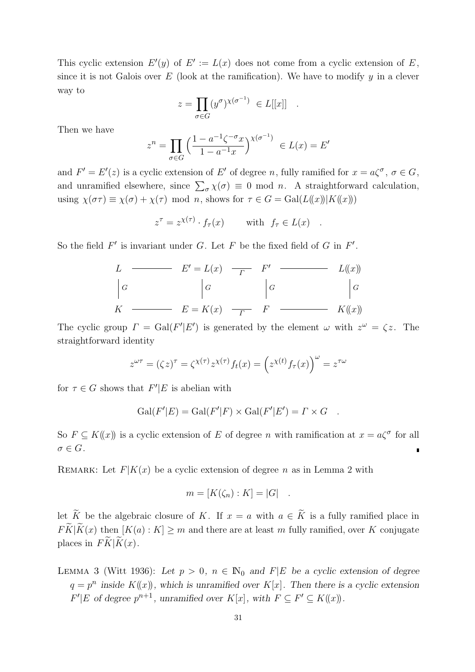This cyclic extension  $E'(y)$  of  $E' := L(x)$  does not come from a cyclic extension of E, since it is not Galois over  $E$  (look at the ramification). We have to modify  $y$  in a clever way to

$$
z = \prod_{\sigma \in G} (y^{\sigma})^{\chi(\sigma^{-1})} \in L[[x]] .
$$

Then we have

$$
z^{n} = \prod_{\sigma \in G} \left( \frac{1 - a^{-1} \zeta^{-\sigma} x}{1 - a^{-1} x} \right)^{\chi(\sigma^{-1})} \in L(x) = E'
$$

and  $F' = E'(z)$  is a cyclic extension of E' of degree n, fully ramified for  $x = a\zeta^{\sigma}$ ,  $\sigma \in G$ , and unramified elsewhere, since  $\sum_{\sigma} \chi(\sigma) \equiv 0 \mod n$ . A straightforward calculation, using  $\chi(\sigma \tau) \equiv \chi(\sigma) + \chi(\tau) \mod n$ , shows for  $\tau \in G = \text{Gal}(L(\!(x)\!) | K(\!(x)\!) )$ 

$$
z^{\tau} = z^{\chi(\tau)} \cdot f_{\tau}(x) \quad \text{with} \quad f_{\tau} \in L(x) \quad .
$$

So the field  $F'$  is invariant under G. Let F be the fixed field of G in  $F'$ .

$$
L \longrightarrow E' = L(x) \longrightarrow F' \longrightarrow L((x))
$$
  
\n
$$
\begin{vmatrix} G \\ K \end{vmatrix} G \qquad \qquad \begin{vmatrix} G \\ G \end{vmatrix} G \qquad \qquad \begin{vmatrix} G \\ G \end{vmatrix} G
$$
  
\n
$$
K \longrightarrow E = K(x) \longrightarrow F \longrightarrow K((x))
$$

The cyclic group  $\Gamma = \text{Gal}(F'|E')$  is generated by the element  $\omega$  with  $z^{\omega} = \zeta z$ . The straightforward identity

$$
z^{\omega \tau} = (\zeta z)^{\tau} = \zeta^{\chi(\tau)} z^{\chi(\tau)} f_t(x) = \left( z^{\chi(t)} f_{\tau}(x) \right)^{\omega} = z^{\tau \omega}
$$

for  $\tau \in G$  shows that  $F'|E$  is abelian with

$$
Gal(F'|E) = Gal(F'|F) \times Gal(F'|E') = \Gamma \times G.
$$

So  $F \subseteq K(x)$  is a cyclic extension of E of degree n with ramification at  $x = a\zeta^{\sigma}$  for all  $\sigma \in G$ .

REMARK: Let  $F|K(x)$  be a cyclic extension of degree n as in Lemma 2 with

$$
m = [K(\zeta_n) : K] = |G| \quad .
$$

let  $\widetilde{K}$  be the algebraic closure of K. If  $x = a$  with  $a \in \widetilde{K}$  is a fully ramified place in  $F\widetilde{K}|\widetilde{K}(x)$  then  $[K(a):K]\geq m$  and there are at least m fully ramified, over K conjugate places in  $\overrightarrow{FK}|\overrightarrow{K}(x)$ .

LEMMA 3 (Witt 1936): Let  $p > 0$ ,  $n \in \mathbb{N}_0$  and  $F|E$  be a cyclic extension of degree  $q = p^n$  inside  $K(x)$ , which is unramified over  $K[x]$ . Then there is a cyclic extension  $F'|E$  of degree  $p^{n+1}$ , unramified over  $K[x]$ , with  $F \subseteq F' \subseteq K(x)$ .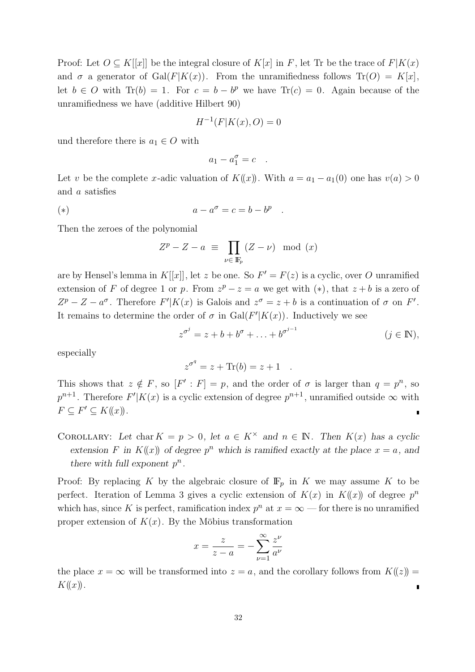Proof: Let  $O \subseteq K[[x]]$  be the integral closure of  $K[x]$  in F, let Tr be the trace of  $F|K(x)$ and  $\sigma$  a generator of Gal(F|K(x)). From the unramifiedness follows Tr(O) = K[x], let  $b \in O$  with Tr(b) = 1. For  $c = b - b^p$  we have Tr(c) = 0. Again because of the unramifiedness we have (additive Hilbert 90)

$$
H^{-1}(F|K(x),O) = 0
$$

und therefore there is  $a_1 \in O$  with

$$
a_1 - a_1^{\sigma} = c \quad .
$$

Let v be the complete x-adic valuation of  $K(x)$ . With  $a = a_1 - a_1(0)$  one has  $v(a) > 0$ and a satisfies

$$
a - a^{\sigma} = c = b - b^p \quad .
$$

Then the zeroes of the polynomial

$$
Z^{p} - Z - a \equiv \prod_{\nu \in \mathbb{F}_{p}} (Z - \nu) \mod (x)
$$

are by Hensel's lemma in K[[x]], let z be one. So  $F' = F(z)$  is a cyclic, over O unramified extension of F of degree 1 or p. From  $z^p - z = a$  we get with  $(*)$ , that  $z + b$  is a zero of  $Z^{p} - Z - a^{\sigma}$ . Therefore  $F'|K(x)$  is Galois and  $z^{\sigma} = z + b$  is a continuation of  $\sigma$  on  $F'$ . It remains to determine the order of  $\sigma$  in Gal( $F'|K(x)$ ). Inductively we see

$$
z^{\sigma^j} = z + b + b^{\sigma} + \ldots + b^{\sigma^{j-1}} \qquad (j \in \mathbb{N}),
$$

especially

$$
z^{\sigma^q} = z + \text{Tr}(b) = z + 1.
$$

This shows that  $z \notin F$ , so  $[F': F] = p$ , and the order of  $\sigma$  is larger than  $q = p^n$ , so  $p^{n+1}$ . Therefore  $F'|K(x)$  is a cyclic extension of degree  $p^{n+1}$ , unramified outside  $\infty$  with  $F \subseteq F' \subseteq K(\!(x)\!).$  $\blacksquare$ 

COROLLARY: Let char  $K = p > 0$ , let  $a \in K^{\times}$  and  $n \in \mathbb{N}$ . Then  $K(x)$  has a cyclic extension F in  $K(x)$  of degree  $p^n$  which is ramified exactly at the place  $x = a$ , and there with full exponent  $p^n$ .

Proof: By replacing K by the algebraic closure of  $\mathbb{F}_p$  in K we may assume K to be perfect. Iteration of Lemma 3 gives a cyclic extension of  $K(x)$  in  $K(x)$  of degree  $p^n$ which has, since K is perfect, ramification index  $p^n$  at  $x = \infty$  — for there is no unramified proper extension of  $K(x)$ . By the Möbius transformation

$$
x = \frac{z}{z - a} = -\sum_{\nu=1}^{\infty} \frac{z^{\nu}}{a^{\nu}}
$$

the place  $x = \infty$  will be transformed into  $z = a$ , and the corollary follows from  $K(\zeta) =$  $K(\!(x)\!)$ .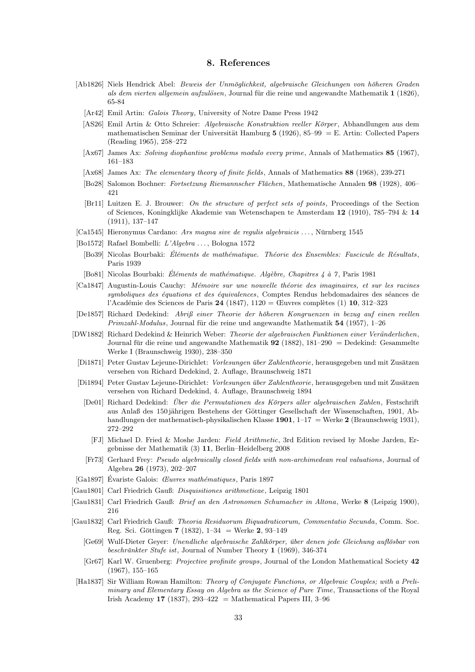#### 8. References

- [Ab1826] Niels Hendrick Abel: Beweis der Unmöglichkeit, algebraische Gleichungen von höheren Graden als dem vierten allgemein aufzulösen, Journal für die reine und angewandte Mathematik 1 (1826), 65-84
	- [Ar42] Emil Artin: Galois Theory, University of Notre Dame Press 1942
	- [AS26] Emil Artin & Otto Schreier: Algebraische Konstruktion reeller Körper, Abhandlungen aus dem mathematischen Seminar der Universität Hamburg  $5$  (1926), 85–99 = E. Artin: Collected Papers (Reading 1965), 258–272
	- [Ax67] James Ax: Solving diophantine problems modulo every prime, Annals of Mathematics 85 (1967), 161–183
	- [Ax68] James Ax: The elementary theory of finite fields, Annals of Mathematics 88 (1968), 239-271
	- [Bo28] Salomon Bochner: Fortsetzung Riemannscher Flächen, Mathematische Annalen 98 (1928), 406– 421
	- [Br11] Luitzen E. J. Brouwer: On the structure of perfect sets of points, Proceedings of the Section of Sciences, Koningklijke Akademie van Wetenschapen te Amsterdam 12 (1910), 785–794 & 14 (1911), 137–147
- $\lbrack \text{Ca1545} \rbrack$  Hieronymus Cardano: Ars magna sive de regulis algebraicis ..., Nürnberg 1545
- [Bo1572] Rafael Bombelli: L'Algebra . . . , Bologna 1572
- [Bo39] Nicolas Bourbaki: Éléments de mathématique. Théorie des Ensembles: Fascicule de Résultats, Paris 1939
- [Bo81] Nicolas Bourbaki: Eléments de mathématique. Algèbre, Chapitres  $\ddot{A}$  à 7, Paris 1981
- [Ca1847] Augustin-Louis Cauchy: Mémoire sur une nouvelle théorie des imaginaires, et sur les racines symboliques des équations et des équivalences, Comptes Rendus hebdomadaires des séances de l'Académie des Sciences de Paris 24 (1847), 1120 = Œuvres complètes (1) 10, 312–323
- [De1857] Richard Dedekind: Abriß einer Theorie der h¨oheren Kongruenzen in bezug auf einen reellen  $Primzahl-Modulus$ , Journal für die reine und angewandte Mathematik 54 (1957), 1–26
- [DW1882] Richard Dedekind & Heinrich Weber: Theorie der algebraischen Funktionen einer Veränderlichen. Journal für die reine und angewandte Mathematik  $92$  (1882), 181–290 = Dedekind: Gesammelte Werke I (Braunschweig 1930), 238–350
- [Di1871] Peter Gustav Lejeune-Dirichlet: Vorlesungen über Zahlentheorie, herausgegeben und mit Zusätzen versehen von Richard Dedekind, 2. Auflage, Braunschweig 1871
- [Di1894] Peter Gustav Lejeune-Dirichlet: Vorlesungen über Zahlentheorie, herausgegeben und mit Zusätzen versehen von Richard Dedekind, 4. Auflage, Braunschweig 1894
- [De01] Richard Dedekind: Über die Permutationen des Körpers aller algebraischen Zahlen, Festschrift aus Anlaß des 150 jährigen Bestehens der Göttinger Gesellschaft der Wissenschaften, 1901, Abhandlungen der mathematisch-physikalischen Klasse 1901,  $1-17 =$  Werke 2 (Braunschweig 1931), 272–292
	- [FJ] Michael D. Fried & Moshe Jarden: Field Arithmetic, 3rd Edition revised by Moshe Jarden, Ergebnisse der Mathematik (3) 11, Berlin–Heidelberg 2008
- [Fr73] Gerhard Frey: Pseudo algebraically closed fields with non-archimedean real valuations , Journal of Algebra 26 (1973), 202–207
- [Ga1897] Évariste Galois: *Œuvres mathématiques*, Paris 1897
- [Gau1801] Carl Friedrich Gauß: Disquisitiones arithmeticae, Leipzig 1801
- [Gau1831] Carl Friedrich Gauß: Brief an den Astronomen Schumacher in Altona, Werke 8 (Leipzig 1900), 216
- [Gau1832] Carl Friedrich Gauß: Theoria Residuorum Biquadraticorum, Commentatio Secunda, Comm. Soc. Reg. Sci. Göttingen 7 (1832),  $1-34 =$  Werke 2, 93-149
	- [Ge69] Wulf-Dieter Geyer: Unendliche algebraische Zahlkörper, über denen jede Gleichung auflösbar von beschränkter Stufe ist, Journal of Number Theory 1 (1969), 346-374
	- [Gr67] Karl W. Gruenberg: Projective profinite groups, Journal of the London Mathematical Society 42 (1967), 155–165
- [Ha1837] Sir William Rowan Hamilton: Theory of Conjugate Functions, or Algebraic Couples; with a Preliminary and Elementary Essay on Algebra as the Science of Pure Time, Transactions of the Royal Irish Academy 17 (1837), 293-422 = Mathematical Papers III, 3-96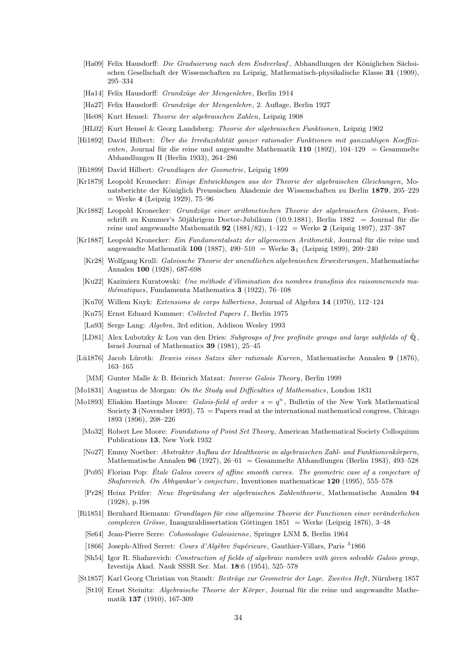- [Ha09] Felix Hausdorff: Die Graduierung nach dem Endverlauf, Abhandlungen der Königlichen Sächsischen Gesellschaft der Wissenschaften zu Leipzig, Mathematisch-physikalische Klasse 31 (1909), 295–334
- [Ha14] Felix Hausdorff: *Grundzüge der Mengenlehre*, Berlin 1914
- [Ha27] Felix Hausdorff: Grundzüge der Mengenlehre, 2. Auflage, Berlin 1927
- [He08] Kurt Hensel: Theorie der algebraischen Zahlen, Leipzig 1908
- [HL02] Kurt Hensel & Georg Landsberg: Theorie der algebraischen Funktionen, Leipzig 1902
- [Hi1892] David Hilbert: Über die Irreduzibilität ganzer rationaler Funktionen mit ganzzahligen Koeffizienten, Journal für die reine und angewandte Mathematik  $110$  (1892),  $104-129 =$  Gesammelte Abhandlungen II (Berlin 1933), 264–286
- [Hi1899] David Hilbert: Grundlagen der Geometrie, Leipzig 1899
- [Kr1879] Leopold Kronecker: Einige Entwicklungen aus der Theorie der algebraischen Gleichungen, Monatsberichte der Königlich Preussischen Akademie der Wissenschaften zu Berlin 1879, 205–229 = Werke 4 (Leipzig 1929), 75–96
- [Kr1882] Leopold Kronecker: Grundzüge einer arithmetischen Theorie der algebraischen Grössen, Festschrift zu Kummer's 50 jährigem Doctor-Jubiläum (10.9.1881), Berlin 1882 = Journal für die reine und angewandte Mathematik 92 (1881/82), 1–122 = Werke 2 (Leipzig 1897), 237–387
- [Kr1887] Leopold Kronecker: Ein Fundamentalsatz der allgemeinen Arithmetik, Journal für die reine und angewandte Mathematik 100 (1887), 490–510 = Werke  $3_1$  (Leipzig 1899), 209–240
	- [Kr28] Wolfgang Krull: Galoissche Theorie der unendlichen algebraischen Erweiterungen, Mathematische Annalen 100 (1928), 687-698
	- $[Ku22]$  Kazimierz Kuratowski: Une méthode d'élimination des nombres transfinis des raisonnements ma $th\acute{e}matiques$ , Fundamenta Mathematica 3 (1922), 76–108
	- [Ku70] Willem Kuyk: Extensions de corps hilbertiens, Journal of Algebra 14 (1970), 112–124
	- [Ku75] Ernst Eduard Kummer: Collected Papers I, Berlin 1975
	- [La93] Serge Lang: Algebra, 3rd edition, Addison Wesley 1993
	- [LD81] Alex Lubotzky & Lou van den Dries: Subgroups of free profinite groups and large subfields of  $\mathbb{Q}$ , Israel Journal of Mathematics 39 (1981), 25–45
- [Lü1876] Jacob Lüroth: *Beweis eines Satzes über rationale Kurven*, Mathematische Annalen 9 (1876), 163–165
	- [MM] Gunter Malle & B. Heinrich Matzat: Inverse Galois Theory, Berlin 1999
- [Mo1831] Augustus de Morgan: On the Study and Difficulties of Mathematics, London 1831
- [Mo1893] Eliakim Hastings Moore: *Galois-field of order*  $s = q^n$ , Bulletin of the New York Mathematical Society 3 (November 1893),  $75 =$  Papers read at the international mathematical congress, Chicago 1893 (1896), 208–226
	- [Mo32] Robert Lee Moore: Foundations of Point Set Theory, American Mathematical Society Colloquium Publications 13, New York 1932
	- [No27] Emmy Noether: Abstrakter Aufbau der Idealtheorie in algebraischen Zahl- und Funktionenkörpern, Mathematische Annalen 96 (1927), 26–61 = Gesammelte Abhandlungen (Berlin 1983), 493–528
	- [Po95] Florian Pop: Etale Galois covers of affine smooth curves. The geometric case of a conjecture of ´ Shafarevich. On Abhyankar's conjecture, Inventiones mathematicae 120 (1995), 555–578
	- [Pr28] Heinz Prüfer: Neue Begründung der algebraischen Zahlentheorie, Mathematische Annalen 94 (1928), p.198
- [Ri1851] Bernhard Riemann: Grundlagen für eine allgemeine Theorie der Functionen einer veränderlichen  $complexen\ Gr\ddot{o}sse$ , Inauguraldissertation Göttingen 1851 = Werke (Leipzig 1876), 3–48
	- [Se64] Jean-Pierre Serre: Cohomologie Galoisienne, Springer LNM 5, Berlin 1964
	- [1866] Joseph-Alfred Serret: Cours d'Algèbre Supérieure, Gauthier-Villars, Paris <sup>3</sup>1866
- [Sh54] Igor R. Shafarevich: Construction of fields of algebraic numbers with given solvable Galois group, Izvestija Akad. Nauk SSSR Ser. Mat. 18:6 (1954), 525–578
- [St1857] Karl Georg Christian von Staudt: Beiträge zur Geometrie der Lage. Zweites Heft, Nürnberg 1857
	- [St10] Ernst Steinitz: Algebraische Theorie der Körper, Journal für die reine und angewandte Mathematik 137 (1910), 167-309